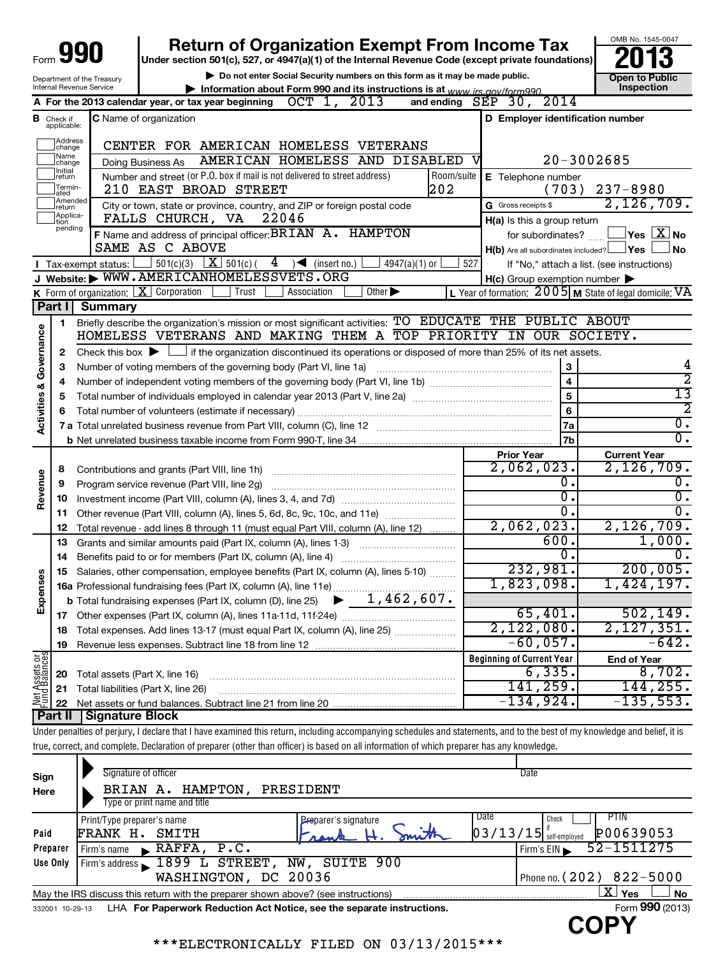|                                    |                           |                                                        | <b>Return of Organization Exempt From Income Tax</b>                                                                                                                       |            |                                                     | OMB No. 1545-0047                                       |
|------------------------------------|---------------------------|--------------------------------------------------------|----------------------------------------------------------------------------------------------------------------------------------------------------------------------------|------------|-----------------------------------------------------|---------------------------------------------------------|
|                                    |                           |                                                        | Under section 501(c), 527, or 4947(a)(1) of the Internal Revenue Code (except private foundations)                                                                         |            |                                                     |                                                         |
|                                    |                           | Department of the Treasury<br>Internal Revenue Service | Do not enter Social Security numbers on this form as it may be made public.<br>Information about Form 990 and its instructions is at $www$ irs $a$ ov/form990              |            |                                                     | <b>Open to Public</b><br>Inspection                     |
|                                    |                           |                                                        | A For the 2013 calendar year, or tax year beginning $OCT$ 1, 2013                                                                                                          |            | and ending $SEP$ 30, $2014$                         |                                                         |
|                                    | <b>B</b> Check if         |                                                        | C Name of organization                                                                                                                                                     |            | D Employer identification number                    |                                                         |
|                                    | applicable:               |                                                        |                                                                                                                                                                            |            |                                                     |                                                         |
|                                    | Address<br>change<br>Name |                                                        | CENTER FOR AMERICAN HOMELESS VETERANS                                                                                                                                      |            |                                                     |                                                         |
|                                    | change<br>Initial         |                                                        | AMERICAN HOMELESS AND DISABLED<br>Doing Business As                                                                                                                        |            |                                                     | $20 - 3002685$                                          |
|                                    | return<br>Termin-         |                                                        | Number and street (or P.O. box if mail is not delivered to street address)                                                                                                 | Room/suite | E Telephone number                                  |                                                         |
|                                    | ated<br>Amended           |                                                        | 202<br>210 EAST BROAD STREET                                                                                                                                               |            | (703)                                               | $237 - 8980$<br>2,126,709.                              |
|                                    | return<br>Applica-        |                                                        | City or town, state or province, country, and ZIP or foreign postal code<br>FALLS CHURCH, VA<br>22046                                                                      |            | G Gross receipts \$                                 |                                                         |
|                                    | tion<br>pending           |                                                        | F Name and address of principal officer: BRIAN A. HAMPTON                                                                                                                  |            | H(a) Is this a group return<br>for subordinates?    | $\mathsf{Yes}\ \boxed{\mathbf{X}}\ \mathsf{No}$         |
|                                    |                           |                                                        | SAME AS C ABOVE                                                                                                                                                            |            | $H(b)$ Are all subordinates included? $\Box$ Yes    | J No                                                    |
|                                    |                           | $\blacksquare$ Tax-exempt status: L                    | $\Box$ 501(c)(3) $\Box$ 501(c)( 4) (insert no.)<br>$4947(a)(1)$ or                                                                                                         | 527        |                                                     | If "No," attach a list. (see instructions)              |
|                                    |                           |                                                        | J Website: WWW.AMERICANHOMELESSVETS.ORG                                                                                                                                    |            | $H(c)$ Group exemption number $\blacktriangleright$ |                                                         |
|                                    |                           |                                                        | Other $\blacktriangleright$<br>K Form of organization: $X$ Corporation<br>Trust<br>Association                                                                             |            |                                                     | L Year of formation: 2005 M State of legal domicile: VA |
|                                    | Part I                    | <b>Summary</b>                                         |                                                                                                                                                                            |            |                                                     |                                                         |
|                                    | 1                         |                                                        | Briefly describe the organization's mission or most significant activities: TO EDUCATE THE PUBLIC ABOUT                                                                    |            |                                                     |                                                         |
| <b>Activities &amp; Governance</b> |                           |                                                        | HOMELESS VETERANS AND MAKING THEM A TOP PRIORITY IN OUR SOCIETY.                                                                                                           |            |                                                     |                                                         |
|                                    | 2                         |                                                        | Check this box $\blacktriangleright$ $\Box$ if the organization discontinued its operations or disposed of more than 25% of its net assets.                                |            |                                                     |                                                         |
|                                    | 3                         |                                                        | Number of voting members of the governing body (Part VI, line 1a)                                                                                                          |            | 3                                                   | 4                                                       |
|                                    | 4                         |                                                        |                                                                                                                                                                            |            | $\overline{\mathbf{4}}$                             | $\overline{2}$                                          |
|                                    | 5                         |                                                        |                                                                                                                                                                            |            | 5                                                   | 13                                                      |
|                                    | 6                         |                                                        | Total number of volunteers (estimate if necessary)                                                                                                                         |            | 6                                                   | 2<br>$\overline{0}$ .                                   |
|                                    |                           |                                                        |                                                                                                                                                                            |            | 7a                                                  | $\overline{0}$ .                                        |
|                                    |                           |                                                        |                                                                                                                                                                            |            | 7b                                                  |                                                         |
|                                    | 8                         |                                                        |                                                                                                                                                                            |            | <b>Prior Year</b><br>2,062,023.                     | <b>Current Year</b><br>2,126,709.                       |
|                                    | 9                         |                                                        | Program service revenue (Part VIII, line 2g)                                                                                                                               |            | 0.                                                  | 0.                                                      |
| Revenue                            | 10                        |                                                        |                                                                                                                                                                            |            | 0.                                                  | $\overline{0}$ .                                        |
|                                    | 11                        |                                                        | Other revenue (Part VIII, column (A), lines 5, 6d, 8c, 9c, 10c, and 11e)                                                                                                   |            | $\overline{0}$ .                                    | σ.                                                      |
|                                    | 12                        |                                                        | Total revenue - add lines 8 through 11 (must equal Part VIII, column (A), line 12)                                                                                         |            | 2,062,023.                                          | 2, 126, 709.                                            |
|                                    | 13                        |                                                        | Grants and similar amounts paid (Part IX, column (A), lines 1-3)                                                                                                           |            | 600.                                                | 1,000.                                                  |
|                                    | 14                        |                                                        | Benefits paid to or for members (Part IX, column (A), line 4)                                                                                                              |            | 0.                                                  | 0.                                                      |
| w                                  | 15                        |                                                        | Salaries, other compensation, employee benefits (Part IX, column (A), lines 5-10)                                                                                          |            | 232,981.                                            | 200,005.                                                |
|                                    |                           |                                                        | 16a Professional fundraising fees (Part IX, column (A), line 11e)                                                                                                          |            | 1,823,098.                                          | 1,424,197.                                              |
| Expense                            |                           |                                                        | 1,462,607.<br><b>b</b> Total fundraising expenses (Part IX, column (D), line 25)                                                                                           |            |                                                     |                                                         |
|                                    |                           |                                                        |                                                                                                                                                                            |            | 65,401.                                             | 502, 149.                                               |
|                                    | 18                        |                                                        | Total expenses. Add lines 13-17 (must equal Part IX, column (A), line 25)                                                                                                  |            | 2,122,080.                                          | 2,127,351.                                              |
|                                    | 19                        |                                                        |                                                                                                                                                                            |            | $-60,057$ .                                         | $-642.$                                                 |
| Net Assets or                      |                           |                                                        |                                                                                                                                                                            |            | <b>Beginning of Current Year</b><br>6,335.          | <b>End of Year</b><br>8,702.                            |
|                                    | 20<br>21                  |                                                        | Total assets (Part X, line 16)<br>Total liabilities (Part X, line 26)                                                                                                      |            | 141,259.                                            | 144,255.                                                |
|                                    | 22                        |                                                        |                                                                                                                                                                            |            | -134,924.                                           | $-135,553.$                                             |
|                                    | <b>Part II</b>            | Signature Block                                        |                                                                                                                                                                            |            |                                                     |                                                         |
|                                    |                           |                                                        | Under penalties of perjury, I declare that I have examined this return, including accompanying schedules and statements, and to the best of my knowledge and belief, it is |            |                                                     |                                                         |
|                                    |                           |                                                        | true, correct, and complete. Declaration of preparer (other than officer) is based on all information of which preparer has any knowledge.                                 |            |                                                     |                                                         |
|                                    |                           |                                                        |                                                                                                                                                                            |            |                                                     |                                                         |
| Sign                               |                           |                                                        | Signature of officer                                                                                                                                                       |            | Date                                                |                                                         |
| Here                               |                           |                                                        | BRIAN A. HAMPTON, PRESIDENT                                                                                                                                                |            |                                                     |                                                         |
|                                    |                           |                                                        | Type or print name and title                                                                                                                                               |            |                                                     |                                                         |
|                                    |                           | Print/Type preparer's name                             | Preparer's signature                                                                                                                                                       |            | Date<br>Check                                       | <b>PTIN</b>                                             |
| Paid                               |                           |                                                        | FRANK H. SMITH                                                                                                                                                             |            | $03/13/15$ self-employed                            | P00639053                                               |
|                                    | Preparer                  | Firm's name                                            | $\blacktriangleright$ RAFFA,<br>P.C.                                                                                                                                       |            | Firm's EIN                                          | 52-1511275                                              |
|                                    | Use Only                  |                                                        | Firm's address 1899 L STREET, NW, SUITE 900                                                                                                                                |            |                                                     |                                                         |
|                                    |                           |                                                        | WASHINGTON, DC 20036                                                                                                                                                       |            |                                                     | Phone no. (202) 822-5000<br>$\mathbf{X}$ Yes            |
|                                    | 332001 10-29-13           |                                                        | May the IRS discuss this return with the preparer shown above? (see instructions)<br>LHA For Paperwork Reduction Act Notice, see the separate instructions.                |            |                                                     | No<br>Form 990 (2013)                                   |
|                                    |                           |                                                        |                                                                                                                                                                            |            |                                                     |                                                         |

\*\*\*ELECTRONICALLY FILED ON 03/13/2015\*\*\*

**COPY**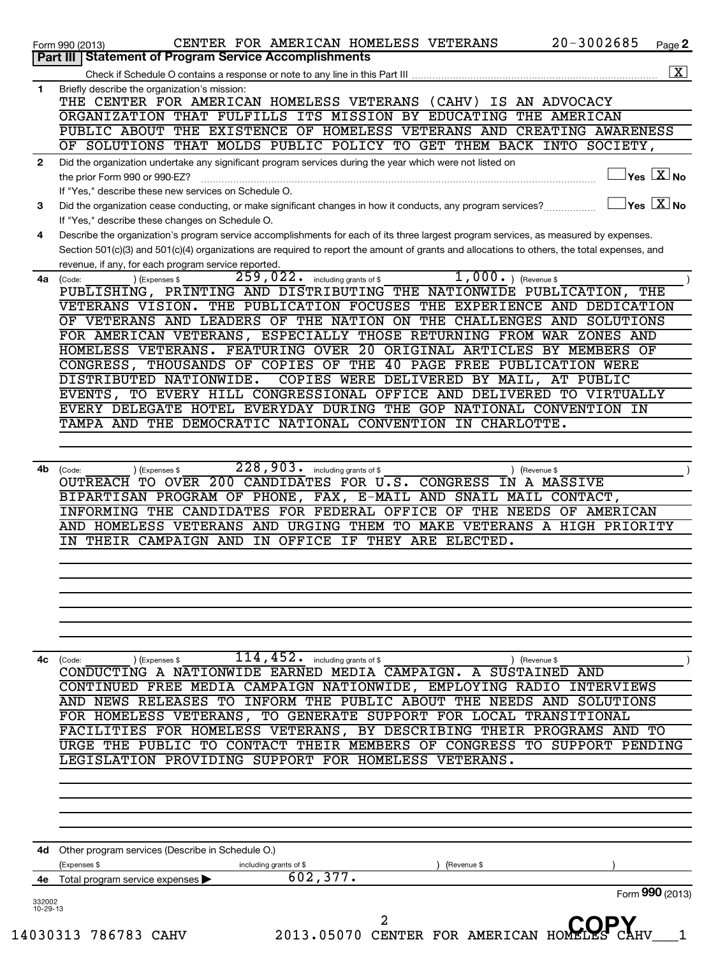|          | $20 - 3002685$<br>CENTER FOR AMERICAN HOMELESS VETERANS<br>Page 2<br>Form 990 (2013)                                                                                                                                                                                                                  |
|----------|-------------------------------------------------------------------------------------------------------------------------------------------------------------------------------------------------------------------------------------------------------------------------------------------------------|
|          | Part III   Statement of Program Service Accomplishments                                                                                                                                                                                                                                               |
| 1        | Briefly describe the organization's mission:                                                                                                                                                                                                                                                          |
|          | THE CENTER FOR AMERICAN HOMELESS VETERANS (CAHV) IS AN ADVOCACY                                                                                                                                                                                                                                       |
|          | ORGANIZATION THAT FULFILLS ITS MISSION BY EDUCATING THE AMERICAN                                                                                                                                                                                                                                      |
|          | PUBLIC ABOUT THE EXISTENCE OF HOMELESS VETERANS AND CREATING AWARENESS                                                                                                                                                                                                                                |
|          | OF SOLUTIONS THAT MOLDS PUBLIC POLICY TO GET THEM BACK INTO SOCIETY,                                                                                                                                                                                                                                  |
| 2        | Did the organization undertake any significant program services during the year which were not listed on                                                                                                                                                                                              |
|          | $\sqrt{}$ Yes $\sqrt{}\frac{\text{X}}{\text{N}}$ No<br>the prior Form 990 or 990-EZ?                                                                                                                                                                                                                  |
|          | If "Yes," describe these new services on Schedule O.                                                                                                                                                                                                                                                  |
| 3        | $ {\mathsf Y}_{\mathsf B} \mathsf E  \mathsf X  $ No<br>Did the organization cease conducting, or make significant changes in how it conducts, any program services?                                                                                                                                  |
|          | If "Yes," describe these changes on Schedule O.                                                                                                                                                                                                                                                       |
| 4        | Describe the organization's program service accomplishments for each of its three largest program services, as measured by expenses.                                                                                                                                                                  |
|          | Section 501(c)(3) and 501(c)(4) organizations are required to report the amount of grants and allocations to others, the total expenses, and                                                                                                                                                          |
|          | revenue, if any, for each program service reported.<br>$1,000.$ (Revenue \$<br>$\overline{259}$ , $022$ $\cdot$ including grants of \$<br>4a (Code:<br>) (Expenses \$                                                                                                                                 |
|          | PUBLISHING, PRINTING AND DISTRIBUTING THE NATIONWIDE PUBLICATION, THE                                                                                                                                                                                                                                 |
|          | VETERANS VISION. THE PUBLICATION FOCUSES THE EXPERIENCE AND DEDICATION                                                                                                                                                                                                                                |
|          | OF VETERANS AND LEADERS OF THE NATION ON THE CHALLENGES AND SOLUTIONS                                                                                                                                                                                                                                 |
|          | FOR AMERICAN VETERANS, ESPECIALLY THOSE RETURNING FROM WAR ZONES AND                                                                                                                                                                                                                                  |
|          | HOMELESS VETERANS. FEATURING OVER 20 ORIGINAL ARTICLES BY MEMBERS OF                                                                                                                                                                                                                                  |
|          | CONGRESS, THOUSANDS OF COPIES OF THE 40 PAGE FREE PUBLICATION WERE                                                                                                                                                                                                                                    |
|          | COPIES WERE DELIVERED BY MAIL, AT PUBLIC<br>DISTRIBUTED NATIONWIDE.                                                                                                                                                                                                                                   |
|          | EVENTS, TO EVERY HILL CONGRESSIONAL OFFICE AND DELIVERED TO VIRTUALLY                                                                                                                                                                                                                                 |
|          | EVERY DELEGATE HOTEL EVERYDAY DURING THE GOP NATIONAL CONVENTION IN                                                                                                                                                                                                                                   |
|          | TAMPA AND THE DEMOCRATIC NATIONAL CONVENTION IN CHARLOTTE.                                                                                                                                                                                                                                            |
|          | INFORMING THE CANDIDATES FOR FEDERAL OFFICE OF THE NEEDS OF AMERICAN<br>AND HOMELESS VETERANS AND URGING THEM TO MAKE VETERANS A HIGH PRIORITY<br>IN THEIR CAMPAIGN AND IN OFFICE IF THEY ARE ELECTED.                                                                                                |
|          |                                                                                                                                                                                                                                                                                                       |
|          | $114, 452$ . including grants of \$<br>4c (Code:<br>) (Expenses \$<br>) (Revenue \$<br>CONDUCTING A NATIONWIDE EARNED MEDIA CAMPAIGN. A SUSTAINED AND<br>CONTINUED FREE MEDIA CAMPAIGN NATIONWIDE, EMPLOYING RADIO INTERVIEWS<br>AND NEWS RELEASES TO INFORM THE PUBLIC ABOUT THE NEEDS AND SOLUTIONS |
|          | FOR HOMELESS VETERANS, TO GENERATE SUPPORT FOR LOCAL TRANSITIONAL<br>LEGISLATION PROVIDING SUPPORT FOR HOMELESS VETERANS.                                                                                                                                                                             |
|          | FACILITIES FOR HOMELESS VETERANS, BY DESCRIBING THEIR PROGRAMS AND TO<br>URGE THE PUBLIC TO CONTACT THEIR MEMBERS OF CONGRESS TO SUPPORT PENDING<br>Other program services (Describe in Schedule O.)<br>Expenses \$<br>including grants of \$<br>(Revenue \$                                          |
| 4d<br>4е | 602, 377.<br>Total program service expenses<br>Form 990 (2013)                                                                                                                                                                                                                                        |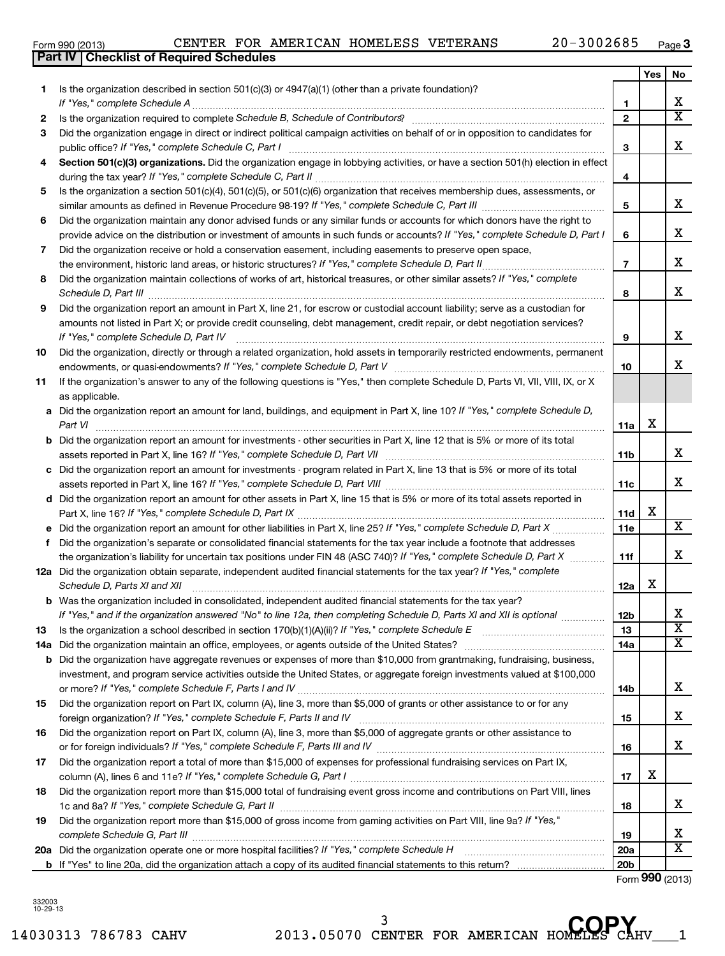14030313 786783 CAHV 2013.05070 CENTER FOR AMERICAN HOMELES CAHV\_\_\_1 <sup>3</sup> CENTER FOR AMERICAN HOMELES CAP

| Form 990 (2013) |                                                  | CENTER FOR AMERICAN HOMELESS VETERANS |  | $20 - 3002685$ | Page |
|-----------------|--------------------------------------------------|---------------------------------------|--|----------------|------|
|                 | <b>Part IV   Checklist of Required Schedules</b> |                                       |  |                |      |

|     |                                                                                                                                                                                                                                      |                     | Yes | No                      |
|-----|--------------------------------------------------------------------------------------------------------------------------------------------------------------------------------------------------------------------------------------|---------------------|-----|-------------------------|
| 1.  | Is the organization described in section $501(c)(3)$ or $4947(a)(1)$ (other than a private foundation)?                                                                                                                              |                     |     | х                       |
|     |                                                                                                                                                                                                                                      | 1<br>$\overline{2}$ |     | $\overline{\mathtt{x}}$ |
| 2   |                                                                                                                                                                                                                                      |                     |     |                         |
| 3   | Did the organization engage in direct or indirect political campaign activities on behalf of or in opposition to candidates for                                                                                                      |                     |     | x                       |
|     |                                                                                                                                                                                                                                      | 3                   |     |                         |
| 4   | Section 501(c)(3) organizations. Did the organization engage in lobbying activities, or have a section 501(h) election in effect                                                                                                     |                     |     |                         |
|     |                                                                                                                                                                                                                                      | 4                   |     |                         |
| 5   | Is the organization a section 501(c)(4), 501(c)(5), or 501(c)(6) organization that receives membership dues, assessments, or                                                                                                         |                     |     |                         |
|     |                                                                                                                                                                                                                                      | 5                   |     | x                       |
| 6   | Did the organization maintain any donor advised funds or any similar funds or accounts for which donors have the right to                                                                                                            |                     |     |                         |
|     | provide advice on the distribution or investment of amounts in such funds or accounts? If "Yes," complete Schedule D, Part I                                                                                                         | 6                   |     | x                       |
| 7   | Did the organization receive or hold a conservation easement, including easements to preserve open space,                                                                                                                            |                     |     |                         |
|     |                                                                                                                                                                                                                                      | $\overline{7}$      |     | x                       |
| 8   | Did the organization maintain collections of works of art, historical treasures, or other similar assets? If "Yes," complete                                                                                                         |                     |     |                         |
|     | Schedule D, Part III <b>Marting Community Contract Contract Contract Contract Contract Contract Contract Contract Contract Contract Contract Contract Contract Contract Contract Contract Contract Contract Contract Contract Co</b> | 8                   |     | x                       |
| 9   | Did the organization report an amount in Part X, line 21, for escrow or custodial account liability; serve as a custodian for                                                                                                        |                     |     |                         |
|     | amounts not listed in Part X; or provide credit counseling, debt management, credit repair, or debt negotiation services?                                                                                                            |                     |     |                         |
|     | If "Yes," complete Schedule D, Part IV                                                                                                                                                                                               | 9                   |     | x                       |
| 10  | Did the organization, directly or through a related organization, hold assets in temporarily restricted endowments, permanent                                                                                                        |                     |     |                         |
|     |                                                                                                                                                                                                                                      | 10                  |     | x                       |
| 11  | If the organization's answer to any of the following questions is "Yes," then complete Schedule D, Parts VI, VII, VIII, IX, or X                                                                                                     |                     |     |                         |
|     | as applicable.                                                                                                                                                                                                                       |                     |     |                         |
|     | a Did the organization report an amount for land, buildings, and equipment in Part X, line 10? If "Yes," complete Schedule D,                                                                                                        |                     |     |                         |
|     | Part VI                                                                                                                                                                                                                              | 11a                 | X   |                         |
|     | <b>b</b> Did the organization report an amount for investments - other securities in Part X, line 12 that is 5% or more of its total                                                                                                 |                     |     |                         |
|     |                                                                                                                                                                                                                                      | 11 <sub>b</sub>     |     | x                       |
|     | c Did the organization report an amount for investments - program related in Part X, line 13 that is 5% or more of its total                                                                                                         |                     |     |                         |
|     |                                                                                                                                                                                                                                      | 11c                 |     | x                       |
|     | d Did the organization report an amount for other assets in Part X, line 15 that is 5% or more of its total assets reported in                                                                                                       |                     |     |                         |
|     |                                                                                                                                                                                                                                      | 11d                 | х   |                         |
| е   |                                                                                                                                                                                                                                      | 11e                 |     | $\overline{\mathbf{x}}$ |
| f   | Did the organization's separate or consolidated financial statements for the tax year include a footnote that addresses                                                                                                              |                     |     |                         |
|     | the organization's liability for uncertain tax positions under FIN 48 (ASC 740)? If "Yes," complete Schedule D, Part X                                                                                                               | 11f                 |     | х                       |
|     | 12a Did the organization obtain separate, independent audited financial statements for the tax year? If "Yes," complete                                                                                                              |                     |     |                         |
|     | Schedule D, Parts XI and XII                                                                                                                                                                                                         | 12a                 | X   |                         |
|     | <b>b</b> Was the organization included in consolidated, independent audited financial statements for the tax year?                                                                                                                   |                     |     |                         |
|     | If "Yes," and if the organization answered "No" to line 12a, then completing Schedule D, Parts XI and XII is optional                                                                                                                | <b>12b</b>          |     | x                       |
| 13  |                                                                                                                                                                                                                                      | 13                  |     | $\overline{\textbf{x}}$ |
| 14a |                                                                                                                                                                                                                                      | 14a                 |     | $\overline{\textbf{X}}$ |
| b   | Did the organization have aggregate revenues or expenses of more than \$10,000 from grantmaking, fundraising, business,                                                                                                              |                     |     |                         |
|     | investment, and program service activities outside the United States, or aggregate foreign investments valued at \$100,000                                                                                                           |                     |     |                         |
|     |                                                                                                                                                                                                                                      | 14b                 |     | x                       |
| 15  | Did the organization report on Part IX, column (A), line 3, more than \$5,000 of grants or other assistance to or for any                                                                                                            |                     |     |                         |
|     |                                                                                                                                                                                                                                      | 15                  |     | x                       |
| 16  | Did the organization report on Part IX, column (A), line 3, more than \$5,000 of aggregate grants or other assistance to                                                                                                             |                     |     |                         |
|     |                                                                                                                                                                                                                                      | 16                  |     | x                       |
| 17  | Did the organization report a total of more than \$15,000 of expenses for professional fundraising services on Part IX,                                                                                                              |                     |     |                         |
|     |                                                                                                                                                                                                                                      | 17                  | X   |                         |
| 18  | Did the organization report more than \$15,000 total of fundraising event gross income and contributions on Part VIII, lines                                                                                                         |                     |     |                         |
|     |                                                                                                                                                                                                                                      | 18                  |     | х                       |
| 19  | Did the organization report more than \$15,000 of gross income from gaming activities on Part VIII, line 9a? If "Yes,"                                                                                                               |                     |     |                         |
|     |                                                                                                                                                                                                                                      | 19                  |     | х                       |
| 20a |                                                                                                                                                                                                                                      | 20a                 |     | х                       |
|     |                                                                                                                                                                                                                                      | 20 <sub>b</sub>     |     |                         |

Form (2013) **990**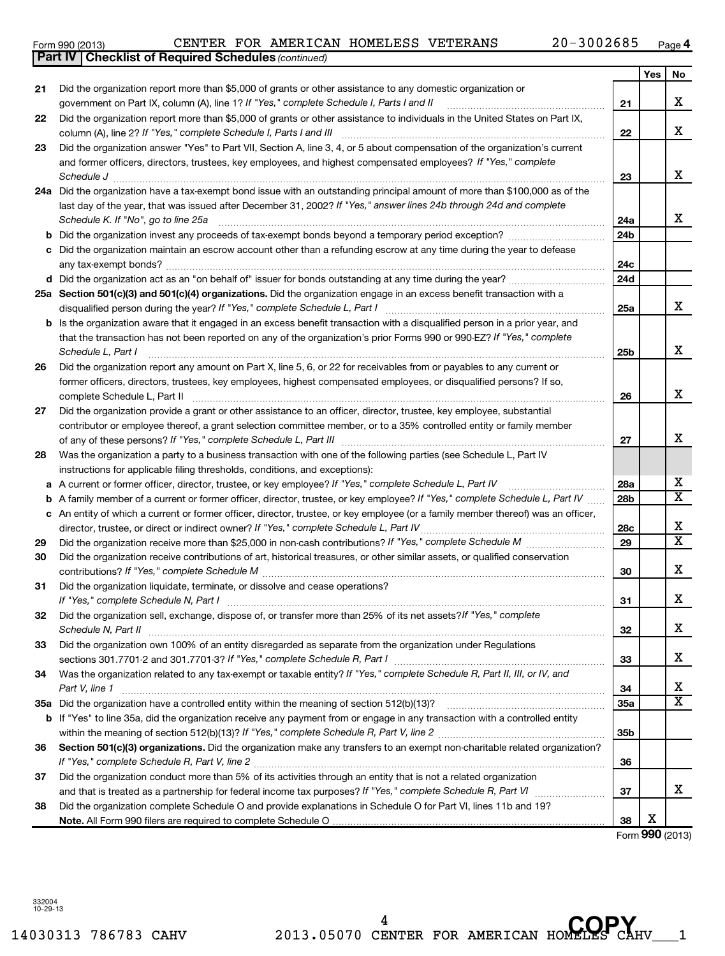14030313 786783 CAHV 2013.05070 CENTER FOR AMERICAN HOMELES CAHV\_\_\_1 <sup>4</sup> CENTER FOR AMERICAN HOMELES CAP

|    | b Is the organization aware that it engaged in an excess benefit transaction with a disqualified person in a prior year, and        |
|----|-------------------------------------------------------------------------------------------------------------------------------------|
|    | that the transaction has not been reported on any of the organization's prior Forms 990 or 990-EZ? If "Yes," complete               |
|    | Schedule L, Part I                                                                                                                  |
|    | Did the organization report any amount on Part X, line 5, 6, or 22 for receivables from or payables to any current or               |
|    | former officers, directors, trustees, key employees, highest compensated employees, or disqualified persons? If so,                 |
|    | complete Schedule L, Part II                                                                                                        |
|    | Did the organization provide a grant or other assistance to an officer, director, trustee, key employee, substantial                |
|    | contributor or employee thereof, a grant selection committee member, or to a 35% controlled entity or family member                 |
|    | of any of these persons? If "Yes," complete Schedule L, Part III                                                                    |
|    | Was the organization a party to a business transaction with one of the following parties (see Schedule L, Part IV                   |
|    | instructions for applicable filing thresholds, conditions, and exceptions):                                                         |
|    | a A current or former officer, director, trustee, or key employee? If "Yes," complete Schedule L, Part IV                           |
|    | <b>b</b> A family member of a current or former officer, director, trustee, or key employee? If "Yes," complete Schedule L, Part IV |
|    | c An entity of which a current or former officer, director, trustee, or key employee (or a family member thereof) was an officer,   |
|    | director, trustee, or direct or indirect owner? If "Yes," complete Schedule L, Part IV                                              |
|    | Did the organization receive more than \$25,000 in non-cash contributions? If "Yes," complete Schedule M                            |
|    | Did the organization receive contributions of art, historical treasures, or other similar assets, or qualified conservation         |
|    |                                                                                                                                     |
|    | Did the organization liquidate, terminate, or dissolve and cease operations?                                                        |
|    |                                                                                                                                     |
|    | Did the organization sell, exchange, dispose of, or transfer more than 25% of its net assets? If "Yes," complete                    |
|    | Schedule N, Part II                                                                                                                 |
|    | Did the organization own 100% of an entity disregarded as separate from the organization under Regulations                          |
|    | sections 301.7701-2 and 301.7701-3? If "Yes," complete Schedule R, Part I                                                           |
|    | Was the organization related to any tax-exempt or taxable entity? If "Yes," complete Schedule R, Part II, III, or IV, and           |
|    | Part V, line 1                                                                                                                      |
| ĭа | Did the organization have a controlled entity within the meaning of section 512(b)(13)?                                             |
|    | <b>b</b> If "Yes" to line 35a, did the organization receive any payment from or engage in any transaction with a controlled entity  |
|    |                                                                                                                                     |
|    | Section 501(c)(3) organizations. Did the organization make any transfers to an exempt non-charitable related organization?          |
|    |                                                                                                                                     |
|    | Did the organization conduct more than 5% of its activities through an entity that is not a related organization                    |
|    | and that is treated as a partnership for federal income tax purposes? If "Yes," complete Schedule R, Part VI                        |
|    | Did the organization complete Schedule O and provide explanations in Schedule O for Part VI, lines 11b and 19?                      |

**Note.**  All Form 990 filers are required to complete Schedule O

*(continued)* **Part IV Checklist of Required Schedules** Form 990 (2013)  $\begin{array}{cccc} \text{CENTER} & \text{FOR AMERICAN HOMELESS} & \text{VETERANS} \end{array}$  20-3002685  $\begin{array}{cccc} \text{Page} & \text{Page} \end{array}$ 

*If "Yes," complete Schedule I, Parts I and II* government on Part IX, column (A), line 1? ~~~~~~~~~~~~~~~~~~

Did the organization report more than \$5,000 of grants or other assistance to individuals in the United States on Part IX.

Did the organization answer "Yes" to Part VII, Section A, line 3, 4, or 5 about compensation of the organization's current

*If "Yes," complete Schedule I, Parts I and III* column (A), line 2? ~~~~~~~~~~~~~~~~~~~~~~~~~~~~~~

*Schedule J* ~~~~~~~~~~~~~~~~~~~~~~~~~~~~~~~~~~~~~~~~~~~~~~~~~~~~~~~~

**24 a** Did the organization have a tax-exempt bond issue with an outstanding principal amount of more than \$100,000 as of the

last day of the year, that was issued after December 31, 2002? If "Yes," answer lines 24b through 24d and complete *Schedule K. If "No", go to line 25a* ~~~~~~~~~~~~~~~~~~~~~~~~~~~~~~~~~~~~~~~~~~~~

and former officers, directors, trustees, key employees, and highest compensated employees? If "Yes," complete

Did the organization report more than \$5,000 of grants or other assistance to any domestic organization or

**b** Did the organization invest any proceeds of tax-exempt bonds beyond a temporary period exception? \_\_\_\_\_\_\_\_\_\_\_\_\_\_\_\_ **c** Did the organization maintain an escrow account other than a refunding escrow at any time during the year to defease

**d** Did the organization act as an "on behalf of" issuer for bonds outstanding at any time during the year? ~~~~~~~~~~~

*If "Yes," complete Schedule L, Part I* disqualified person during the year? ~~~~~~~~~~~~~~~~~~~~~~~~~

any tax-exempt bonds? ~~~~~~~~~~~~~~~~~~~~~~~~~~~~~~~~~~~~~~~~~~~~~~~~~~

**25 a Section 501(c)(3) and 501(c)(4) organizations.**  Did the organization engage in an excess benefit transaction with a

| (2013) | C1 |
|--------|----|
|        |    |

**21**

**22**

**23**

**26**

**27**

**28**

**29 30**

**31**

**32**

**33**

**34**

**35 a**

**36**

**37**

**38**

**4**

**21**

**22**

**23**

**24a 24b**

**24c 24d**

**25a**

**25b**

**26**

**27**

**28a 28b**

**28c 29**

**30**

**31**

**32**

**33**

**34 35a**

**35b**

**36**

**37**

**38**

Form (2013) **990**

X

Yes No

X

X

X

X

X

X

X

X

X  $\overline{\text{x}}$ 

X  $\overline{\text{x}}$ 

X

X

X

X

X  $\overline{\text{x}}$ 

X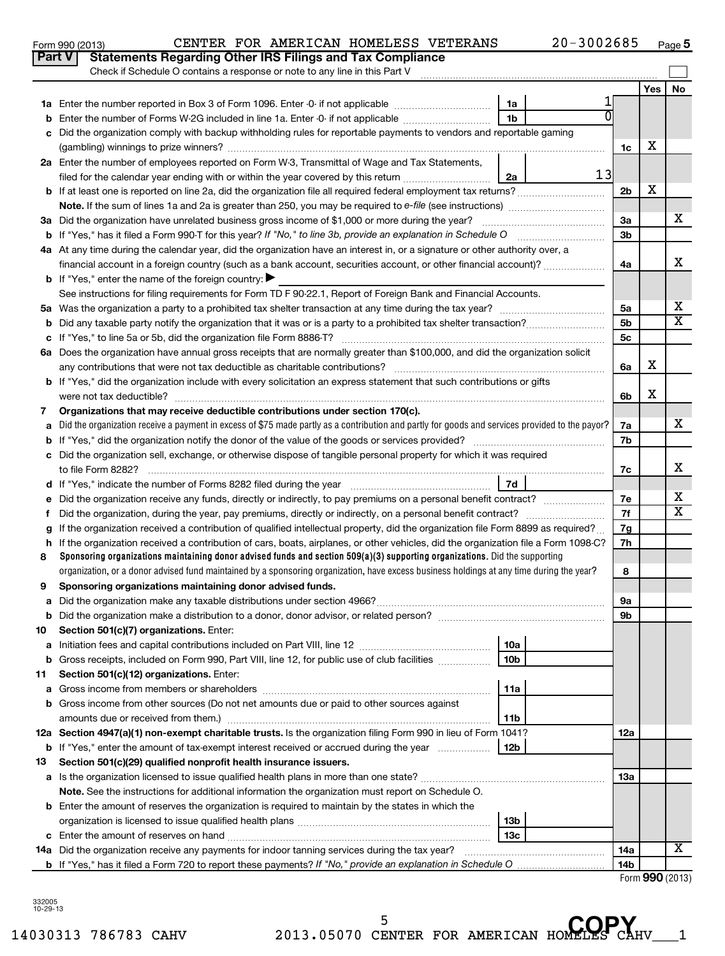|     |                                                                                                                                                                                                               |                 |  |                 | Yes | No                         |  |  |  |  |
|-----|---------------------------------------------------------------------------------------------------------------------------------------------------------------------------------------------------------------|-----------------|--|-----------------|-----|----------------------------|--|--|--|--|
|     |                                                                                                                                                                                                               | 1a              |  |                 |     |                            |  |  |  |  |
|     | <b>b</b> Enter the number of Forms W-2G included in line 1a. Enter -0- if not applicable <i>manumumum</i>                                                                                                     | 1b              |  |                 |     |                            |  |  |  |  |
|     | c Did the organization comply with backup withholding rules for reportable payments to vendors and reportable gaming                                                                                          |                 |  |                 |     |                            |  |  |  |  |
|     |                                                                                                                                                                                                               |                 |  |                 |     |                            |  |  |  |  |
|     | 2a Enter the number of employees reported on Form W-3, Transmittal of Wage and Tax Statements,                                                                                                                |                 |  |                 |     |                            |  |  |  |  |
|     | 13<br>2a<br>filed for the calendar year ending with or within the year covered by this return                                                                                                                 |                 |  |                 |     |                            |  |  |  |  |
|     | <b>b</b> If at least one is reported on line 2a, did the organization file all required federal employment tax returns?                                                                                       |                 |  | 2b              | Х   |                            |  |  |  |  |
|     | <b>Note.</b> If the sum of lines 1a and 2a is greater than 250, you may be required to e-file (see instructions)                                                                                              |                 |  |                 |     |                            |  |  |  |  |
|     | 3a Did the organization have unrelated business gross income of \$1,000 or more during the year?                                                                                                              |                 |  | 3a              |     | х                          |  |  |  |  |
|     | <b>b</b> If "Yes," has it filed a Form 990-T for this year? If "No," to line 3b, provide an explanation in Schedule O                                                                                         |                 |  | 3b              |     |                            |  |  |  |  |
|     | 4a At any time during the calendar year, did the organization have an interest in, or a signature or other authority over, a                                                                                  |                 |  |                 |     |                            |  |  |  |  |
|     | financial account in a foreign country (such as a bank account, securities account, or other financial account)?                                                                                              |                 |  | 4a              |     | х                          |  |  |  |  |
|     | <b>b</b> If "Yes," enter the name of the foreign country: $\blacktriangleright$                                                                                                                               |                 |  |                 |     |                            |  |  |  |  |
|     | See instructions for filing requirements for Form TD F 90-22.1, Report of Foreign Bank and Financial Accounts.                                                                                                |                 |  |                 |     |                            |  |  |  |  |
|     |                                                                                                                                                                                                               |                 |  | 5а              |     | х<br>$\overline{\text{x}}$ |  |  |  |  |
|     |                                                                                                                                                                                                               |                 |  | 5b              |     |                            |  |  |  |  |
|     |                                                                                                                                                                                                               |                 |  | 5c              |     |                            |  |  |  |  |
|     | 6a Does the organization have annual gross receipts that are normally greater than \$100,000, and did the organization solicit<br>any contributions that were not tax deductible as charitable contributions? |                 |  | 6a              | х   |                            |  |  |  |  |
|     | b If "Yes," did the organization include with every solicitation an express statement that such contributions or gifts                                                                                        |                 |  |                 |     |                            |  |  |  |  |
|     | were not tax deductible?                                                                                                                                                                                      |                 |  | 6b              | х   |                            |  |  |  |  |
| 7   | Organizations that may receive deductible contributions under section 170(c).                                                                                                                                 |                 |  |                 |     |                            |  |  |  |  |
| a   | Did the organization receive a payment in excess of \$75 made partly as a contribution and partly for goods and services provided to the payor?                                                               |                 |  | 7a              |     | x                          |  |  |  |  |
|     |                                                                                                                                                                                                               |                 |  | 7b              |     |                            |  |  |  |  |
|     | c Did the organization sell, exchange, or otherwise dispose of tangible personal property for which it was required                                                                                           |                 |  |                 |     |                            |  |  |  |  |
|     | to file Form 8282?                                                                                                                                                                                            |                 |  |                 |     |                            |  |  |  |  |
|     | d If "Yes," indicate the number of Forms 8282 filed during the year manufactured in the set of the number of Forms 8282 filed during the year                                                                 | 7d              |  |                 |     |                            |  |  |  |  |
|     | e Did the organization receive any funds, directly or indirectly, to pay premiums on a personal benefit contract?                                                                                             |                 |  | 7e              |     | х                          |  |  |  |  |
| f.  | Did the organization, during the year, pay premiums, directly or indirectly, on a personal benefit contract?                                                                                                  |                 |  | 7f              |     | $\overline{\textbf{x}}$    |  |  |  |  |
| g   | If the organization received a contribution of qualified intellectual property, did the organization file Form 8899 as required?                                                                              |                 |  | 7g              |     |                            |  |  |  |  |
|     | h If the organization received a contribution of cars, boats, airplanes, or other vehicles, did the organization file a Form 1098-C?                                                                          |                 |  | 7h              |     |                            |  |  |  |  |
| 8   | Sponsoring organizations maintaining donor advised funds and section $509(a)(3)$ supporting organizations. Did the supporting                                                                                 |                 |  |                 |     |                            |  |  |  |  |
|     | organization, or a donor advised fund maintained by a sponsoring organization, have excess business holdings at any time during the year?                                                                     |                 |  | 8               |     |                            |  |  |  |  |
| 9   | Sponsoring organizations maintaining donor advised funds.                                                                                                                                                     |                 |  |                 |     |                            |  |  |  |  |
|     |                                                                                                                                                                                                               |                 |  | 9а              |     |                            |  |  |  |  |
|     |                                                                                                                                                                                                               |                 |  | 9b              |     |                            |  |  |  |  |
| 10  | Section 501(c)(7) organizations. Enter:                                                                                                                                                                       | 10a             |  |                 |     |                            |  |  |  |  |
| а   | <b>b</b> Gross receipts, included on Form 990, Part VIII, line 12, for public use of club facilities                                                                                                          | 10 <sub>b</sub> |  |                 |     |                            |  |  |  |  |
| 11. | Section 501(c)(12) organizations. Enter:                                                                                                                                                                      |                 |  |                 |     |                            |  |  |  |  |
|     |                                                                                                                                                                                                               | 11a             |  |                 |     |                            |  |  |  |  |
|     | b Gross income from other sources (Do not net amounts due or paid to other sources against                                                                                                                    |                 |  |                 |     |                            |  |  |  |  |
|     | amounts due or received from them.)                                                                                                                                                                           | 11 <sub>b</sub> |  |                 |     |                            |  |  |  |  |
|     | 12a Section 4947(a)(1) non-exempt charitable trusts. Is the organization filing Form 990 in lieu of Form 1041?                                                                                                |                 |  |                 |     |                            |  |  |  |  |
|     | 12 <sub>b</sub><br><b>b</b> If "Yes," enter the amount of tax-exempt interest received or accrued during the year                                                                                             |                 |  |                 |     |                            |  |  |  |  |
| 13  | Section 501(c)(29) qualified nonprofit health insurance issuers.                                                                                                                                              |                 |  |                 |     |                            |  |  |  |  |
|     |                                                                                                                                                                                                               |                 |  | 13a             |     |                            |  |  |  |  |
|     | Note. See the instructions for additional information the organization must report on Schedule O.                                                                                                             |                 |  |                 |     |                            |  |  |  |  |
|     | <b>b</b> Enter the amount of reserves the organization is required to maintain by the states in which the                                                                                                     |                 |  |                 |     |                            |  |  |  |  |
|     |                                                                                                                                                                                                               | 13b             |  |                 |     |                            |  |  |  |  |
|     |                                                                                                                                                                                                               | 13 <sub>c</sub> |  |                 |     |                            |  |  |  |  |
|     | 14a Did the organization receive any payments for indoor tanning services during the tax year?                                                                                                                |                 |  | 14a             |     | X                          |  |  |  |  |
|     |                                                                                                                                                                                                               |                 |  | 14 <sub>b</sub> |     |                            |  |  |  |  |

14030313 786783 CAHV 2013.05070 CENTER FOR AMERICAN HOMELES CAHV\_\_\_1 **COPY**5

| Form 990 (2013) |                                                                         |  |  | CENTER FOR AMERICAN HOMELESS VETERANS | 20-3002685 | Page |
|-----------------|-------------------------------------------------------------------------|--|--|---------------------------------------|------------|------|
|                 | <b>Part V</b> Statements Regarding Other IRS Filings and Tax Compliance |  |  |                                       |            |      |

Check if Schedule O contains a response or note to any line in this Part V

**5**

 $\sim$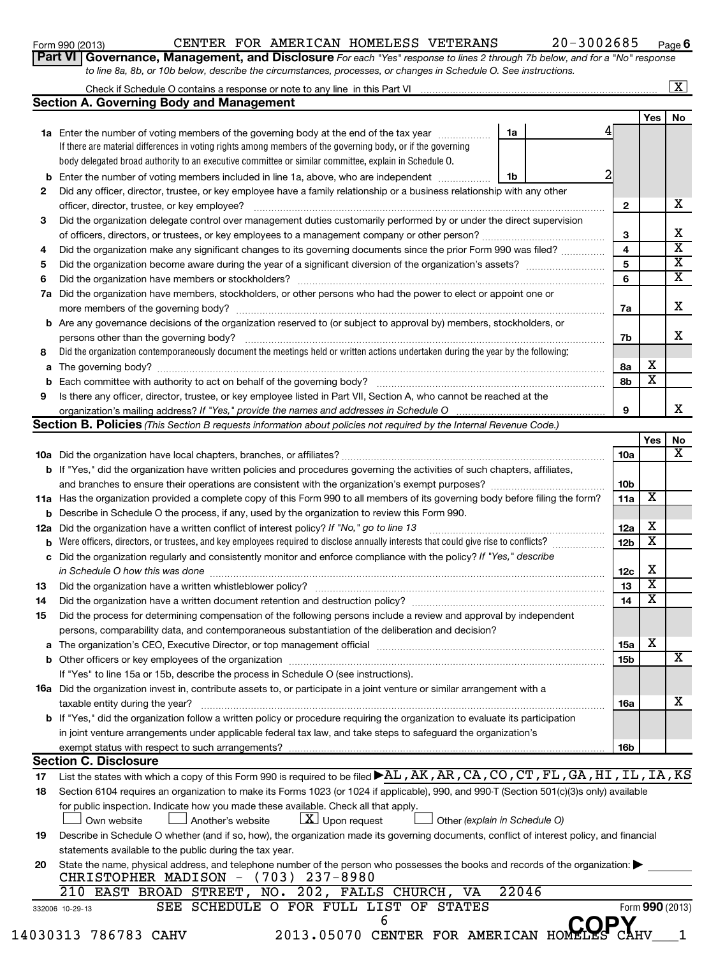### Form 990 (2013)  $\begin{array}{cccc} \text{CENTER} & \text{FOR AMERICAN HOMELESS} & \text{VETERANS} \end{array}$  20-3002685  $\begin{array}{cccc} \text{Page} & \text{Page} \end{array}$

**6**

| <b>rt VI   Governance, Management, and Disclosure</b> For each "Yes" response to lines 2 through 7b below, and for a "No" response |  |  |  |
|------------------------------------------------------------------------------------------------------------------------------------|--|--|--|
| to line 8a, 8b, or 10b below, describe the circumstances, processes, or changes in Schedule O. See instructions.                   |  |  |  |

### Check if Schedule O contains a response or note to any line in this Part VI **Section A. Governing Body and Management**  $\lfloor x \rfloor$

|          |                                                                                                                                                                                                                |                               |                 | Yes | No              |  |  |  |  |  |  |
|----------|----------------------------------------------------------------------------------------------------------------------------------------------------------------------------------------------------------------|-------------------------------|-----------------|-----|-----------------|--|--|--|--|--|--|
|          | 1a Enter the number of voting members of the governing body at the end of the tax year                                                                                                                         | 1a                            |                 |     |                 |  |  |  |  |  |  |
|          | If there are material differences in voting rights among members of the governing body, or if the governing                                                                                                    |                               |                 |     |                 |  |  |  |  |  |  |
|          | body delegated broad authority to an executive committee or similar committee, explain in Schedule O.                                                                                                          |                               |                 |     |                 |  |  |  |  |  |  |
| b        | Enter the number of voting members included in line 1a, above, who are independent                                                                                                                             | 1b                            |                 |     |                 |  |  |  |  |  |  |
| 2        | Did any officer, director, trustee, or key employee have a family relationship or a business relationship with any other                                                                                       |                               |                 |     |                 |  |  |  |  |  |  |
|          | officer, director, trustee, or key employee?                                                                                                                                                                   |                               | $\mathbf{2}$    |     | х               |  |  |  |  |  |  |
| 3        | Did the organization delegate control over management duties customarily performed by or under the direct supervision                                                                                          |                               |                 |     | х               |  |  |  |  |  |  |
|          |                                                                                                                                                                                                                |                               |                 |     |                 |  |  |  |  |  |  |
| 4        | Did the organization make any significant changes to its governing documents since the prior Form 990 was filed?                                                                                               |                               |                 |     |                 |  |  |  |  |  |  |
| 5        |                                                                                                                                                                                                                |                               | 5<br>6          |     | х<br>х          |  |  |  |  |  |  |
| 6        |                                                                                                                                                                                                                |                               |                 |     |                 |  |  |  |  |  |  |
| 7а       | Did the organization have members, stockholders, or other persons who had the power to elect or appoint one or                                                                                                 |                               |                 |     |                 |  |  |  |  |  |  |
|          |                                                                                                                                                                                                                |                               | 7a              |     | х               |  |  |  |  |  |  |
|          | <b>b</b> Are any governance decisions of the organization reserved to (or subject to approval by) members, stockholders, or                                                                                    |                               |                 |     |                 |  |  |  |  |  |  |
|          | persons other than the governing body?                                                                                                                                                                         |                               | 7b              |     | х               |  |  |  |  |  |  |
| 8        | Did the organization contemporaneously document the meetings held or written actions undertaken during the year by the following:                                                                              |                               |                 |     |                 |  |  |  |  |  |  |
| а        |                                                                                                                                                                                                                |                               | 8а              | х   |                 |  |  |  |  |  |  |
| b        |                                                                                                                                                                                                                |                               | 8b              | х   |                 |  |  |  |  |  |  |
| 9        | Is there any officer, director, trustee, or key employee listed in Part VII, Section A, who cannot be reached at the                                                                                           |                               | 9               |     | х               |  |  |  |  |  |  |
|          | organization's mailing address? If "Yes," provide the names and addresses in Schedule O<br>Section B. Policies (This Section B requests information about policies not required by the Internal Revenue Code.) |                               |                 |     |                 |  |  |  |  |  |  |
|          |                                                                                                                                                                                                                |                               |                 | Yes |                 |  |  |  |  |  |  |
|          |                                                                                                                                                                                                                |                               | 10a             |     | No<br>х         |  |  |  |  |  |  |
|          | <b>b</b> If "Yes," did the organization have written policies and procedures governing the activities of such chapters, affiliates,                                                                            |                               |                 |     |                 |  |  |  |  |  |  |
|          |                                                                                                                                                                                                                |                               | 10 <sub>b</sub> |     |                 |  |  |  |  |  |  |
|          | 11a Has the organization provided a complete copy of this Form 990 to all members of its governing body before filing the form?                                                                                |                               | 11a             | х   |                 |  |  |  |  |  |  |
| b        | Describe in Schedule O the process, if any, used by the organization to review this Form 990.                                                                                                                  |                               |                 |     |                 |  |  |  |  |  |  |
| 12a      | Did the organization have a written conflict of interest policy? If "No," go to line 13                                                                                                                        |                               | 12a             | х   |                 |  |  |  |  |  |  |
| b        | Were officers, directors, or trustees, and key employees required to disclose annually interests that could give rise to conflicts?                                                                            |                               | 12 <sub>b</sub> | х   |                 |  |  |  |  |  |  |
| с        | Did the organization regularly and consistently monitor and enforce compliance with the policy? If "Yes," describe                                                                                             |                               |                 |     |                 |  |  |  |  |  |  |
|          | in Schedule O how this was done <i>manufacture content of the set of the set of the set of the set of the set of t</i>                                                                                         |                               | 12c             | х   |                 |  |  |  |  |  |  |
| 13       |                                                                                                                                                                                                                |                               | 13              | х   |                 |  |  |  |  |  |  |
| 14       | Did the organization have a written document retention and destruction policy? [11] manufaction manufaction in                                                                                                 |                               | 14              | х   |                 |  |  |  |  |  |  |
| 15       | Did the process for determining compensation of the following persons include a review and approval by independent                                                                                             |                               |                 |     |                 |  |  |  |  |  |  |
|          | persons, comparability data, and contemporaneous substantiation of the deliberation and decision?                                                                                                              |                               |                 |     |                 |  |  |  |  |  |  |
|          |                                                                                                                                                                                                                |                               | 15a             | х   |                 |  |  |  |  |  |  |
|          |                                                                                                                                                                                                                |                               | 15 <sub>b</sub> |     | х               |  |  |  |  |  |  |
|          | If "Yes" to line 15a or 15b, describe the process in Schedule O (see instructions).                                                                                                                            |                               |                 |     |                 |  |  |  |  |  |  |
|          | <b>16a</b> Did the organization invest in, contribute assets to, or participate in a joint venture or similar arrangement with a                                                                               |                               |                 |     |                 |  |  |  |  |  |  |
|          | taxable entity during the year?                                                                                                                                                                                |                               | <b>16a</b>      |     | х               |  |  |  |  |  |  |
|          | b If "Yes," did the organization follow a written policy or procedure requiring the organization to evaluate its participation                                                                                 |                               |                 |     |                 |  |  |  |  |  |  |
|          | in joint venture arrangements under applicable federal tax law, and take steps to safeguard the organization's                                                                                                 |                               |                 |     |                 |  |  |  |  |  |  |
|          | exempt status with respect to such arrangements?<br><b>Section C. Disclosure</b>                                                                                                                               |                               | 16 <sub>b</sub> |     |                 |  |  |  |  |  |  |
|          | List the states with which a copy of this Form 990 is required to be filed $\blacktriangleright$ AL, AK, AR, CA, CO, CT, FL, GA, HI, IL, IA, KS                                                                |                               |                 |     |                 |  |  |  |  |  |  |
| 17<br>18 | Section 6104 requires an organization to make its Forms 1023 (or 1024 if applicable), 990, and 990-T (Section 501(c)(3)s only) available                                                                       |                               |                 |     |                 |  |  |  |  |  |  |
|          | for public inspection. Indicate how you made these available. Check all that apply.                                                                                                                            |                               |                 |     |                 |  |  |  |  |  |  |
|          | $\lfloor \underline{X} \rfloor$ Upon request<br>Another's website<br>Own website                                                                                                                               | Other (explain in Schedule O) |                 |     |                 |  |  |  |  |  |  |
| 19       | Describe in Schedule O whether (and if so, how), the organization made its governing documents, conflict of interest policy, and financial                                                                     |                               |                 |     |                 |  |  |  |  |  |  |
|          | statements available to the public during the tax year.                                                                                                                                                        |                               |                 |     |                 |  |  |  |  |  |  |
| 20       | State the name, physical address, and telephone number of the person who possesses the books and records of the organization:                                                                                  |                               |                 |     |                 |  |  |  |  |  |  |
|          | CHRISTOPHER MADISON - (703) 237-8980                                                                                                                                                                           |                               |                 |     |                 |  |  |  |  |  |  |
|          | 210 EAST BROAD STREET, NO. 202, FALLS CHURCH, VA                                                                                                                                                               | 22046                         |                 |     |                 |  |  |  |  |  |  |
|          | SEE SCHEDULE O FOR FULL LIST OF STATES<br>332006 10-29-13                                                                                                                                                      |                               |                 |     | Form 990 (2013) |  |  |  |  |  |  |
|          | 6                                                                                                                                                                                                              |                               |                 |     |                 |  |  |  |  |  |  |
|          | 030313 786783 CAHV<br>2013.05070 CENTER FOR AMERICAN HOME                                                                                                                                                      |                               |                 |     |                 |  |  |  |  |  |  |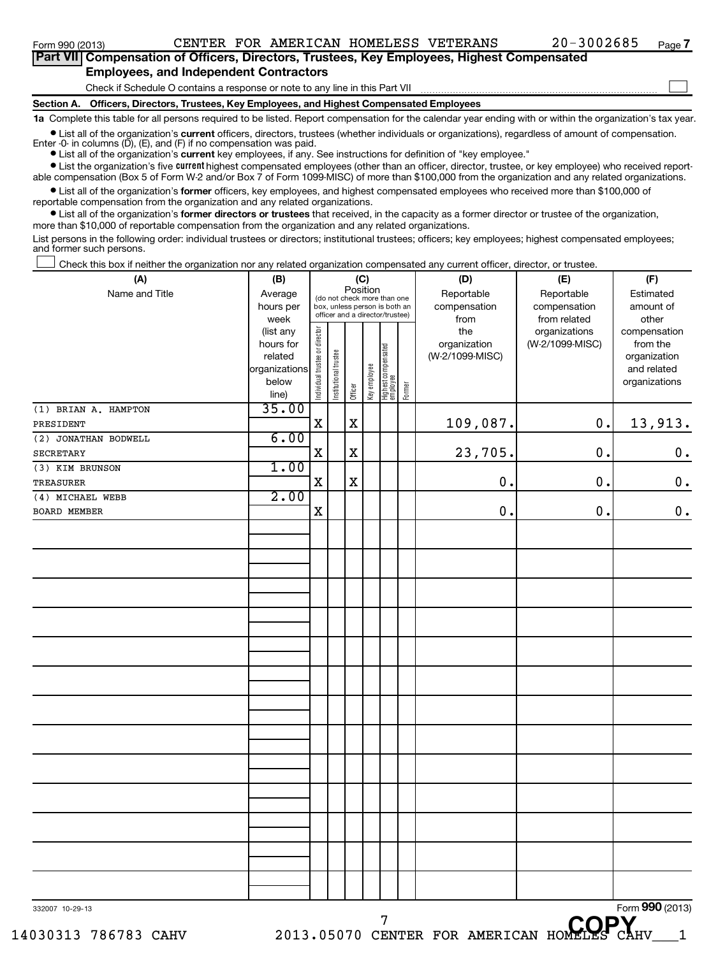| Part VII Compensation of Officers, Directors, Trustees, Key Employees, Highest Compensated    |  |
|-----------------------------------------------------------------------------------------------|--|
| <b>Employees, and Independent Contractors</b>                                                 |  |
| Check if Schedule O contains a response or note to any line in this Part VII                  |  |
| Section A.    Officers, Directors, Trustees, Key Employees, and Highest Compensated Employees |  |

**1a**  Complete this table for all persons required to be listed. Report compensation for the calendar year ending with or within the organization's tax year.

**•** List all of the organization's current officers, directors, trustees (whether individuals or organizations), regardless of amount of compensation. Enter -0- in columns  $(D)$ ,  $(E)$ , and  $(F)$  if no compensation was paid.

**•** List all of the organization's **current** key employees, if any. See instructions for definition of "key employee."

**•** List the organization's five *current* highest compensated employees (other than an officer, director, trustee, or key employee) who received reportable compensation (Box 5 of Form W-2 and/or Box 7 of Form 1099-MISC) of more than \$100,000 from the organization and any related organizations.

 $\bullet$  List all of the organization's former officers, key employees, and highest compensated employees who received more than \$100,000 of reportable compensation from the organization and any related organizations.

**•** List all of the organization's former directors or trustees that received, in the capacity as a former director or trustee of the organization, more than \$10,000 of reportable compensation from the organization and any related organizations.

List persons in the following order: individual trustees or directors; institutional trustees; officers; key employees; highest compensated employees; and former such persons.

Check this box if neither the organization nor any related organization compensated any current officer, director, or trustee.  $\Box$ 

| 332007 10-29-13                   |                                            |                                                              |                                 |                 |              | 7                                             |  |                            | CODV                             | Form 990 (2013)                              |
|-----------------------------------|--------------------------------------------|--------------------------------------------------------------|---------------------------------|-----------------|--------------|-----------------------------------------------|--|----------------------------|----------------------------------|----------------------------------------------|
|                                   |                                            |                                                              |                                 |                 |              |                                               |  |                            |                                  |                                              |
|                                   |                                            |                                                              |                                 |                 |              |                                               |  |                            |                                  |                                              |
|                                   |                                            |                                                              |                                 |                 |              |                                               |  |                            |                                  |                                              |
|                                   |                                            |                                                              |                                 |                 |              |                                               |  |                            |                                  |                                              |
|                                   |                                            |                                                              |                                 |                 |              |                                               |  |                            |                                  |                                              |
|                                   |                                            |                                                              |                                 |                 |              |                                               |  |                            |                                  |                                              |
|                                   |                                            |                                                              |                                 |                 |              |                                               |  |                            |                                  |                                              |
|                                   |                                            |                                                              |                                 |                 |              |                                               |  |                            |                                  |                                              |
|                                   |                                            |                                                              |                                 |                 |              |                                               |  |                            |                                  |                                              |
|                                   |                                            |                                                              |                                 |                 |              |                                               |  |                            |                                  |                                              |
|                                   |                                            |                                                              |                                 |                 |              |                                               |  |                            |                                  |                                              |
|                                   |                                            |                                                              |                                 |                 |              |                                               |  |                            |                                  |                                              |
|                                   |                                            |                                                              |                                 |                 |              |                                               |  |                            |                                  |                                              |
|                                   |                                            |                                                              |                                 |                 |              |                                               |  |                            |                                  |                                              |
|                                   |                                            |                                                              |                                 |                 |              |                                               |  |                            |                                  |                                              |
|                                   |                                            |                                                              |                                 |                 |              |                                               |  |                            |                                  |                                              |
|                                   |                                            |                                                              |                                 |                 |              |                                               |  |                            |                                  |                                              |
|                                   |                                            |                                                              |                                 |                 |              |                                               |  |                            |                                  |                                              |
|                                   |                                            |                                                              |                                 |                 |              |                                               |  |                            |                                  |                                              |
|                                   |                                            |                                                              |                                 |                 |              |                                               |  |                            |                                  |                                              |
| BOARD MEMBER                      |                                            |                                                              |                                 |                 |              |                                               |  |                            |                                  |                                              |
| (4) MICHAEL WEBB                  | 2.00                                       | $\mathbf X$                                                  |                                 |                 |              |                                               |  | $\mathbf 0$                | 0.                               | $\mathbf 0$ .                                |
| TREASURER                         |                                            | $\mathbf X$                                                  |                                 | $\mathbf X$     |              |                                               |  | $\pmb{0}$                  | 0.                               | $\mathbf 0$ .                                |
| (3) KIM BRUNSON                   | 1.00                                       |                                                              |                                 |                 |              |                                               |  |                            |                                  |                                              |
| <b>SECRETARY</b>                  |                                            | $\mathbf X$                                                  |                                 | $\mathbf X$     |              |                                               |  | 23,705.                    | 0.                               | $\mathbf 0$ .                                |
| PRESIDENT<br>(2) JONATHAN BODWELL | 6.00                                       | $\mathbf X$                                                  |                                 | $\mathbf X$     |              |                                               |  | 109,087.                   | 0.                               | 13,913.                                      |
| (1) BRIAN A. HAMPTON              | 35.00                                      |                                                              |                                 |                 |              |                                               |  |                            |                                  |                                              |
|                                   | related<br>organizations<br>below<br>line) | Individual trustee or director                               | Institutional trustee           | Officer         | Key employee | Highest compensated<br>  employee<br>  Former |  | (W-2/1099-MISC)            |                                  | organization<br>and related<br>organizations |
|                                   | (list any<br>hours for                     |                                                              |                                 |                 |              |                                               |  | the<br>organization        | organizations<br>(W-2/1099-MISC) | compensation<br>from the                     |
|                                   | week                                       |                                                              | officer and a director/trustee) |                 |              |                                               |  | from                       | from related                     | other                                        |
| Name and Title                    | Average<br>hours per                       | (do not check more than one<br>box, unless person is both an |                                 |                 |              |                                               |  | Reportable<br>compensation | Reportable<br>compensation       | Estimated<br>amount of                       |
| (A)                               | (B)                                        |                                                              |                                 | (C)<br>Position |              |                                               |  | (D)                        | (E)                              | (F)                                          |

14030313 786783 CAHV 2013.05070 CENTER FOR AMERICAN HOMELES CAHV\_\_\_1 <sup>7</sup> CENTER FOR AMERICAN HOMELES CAP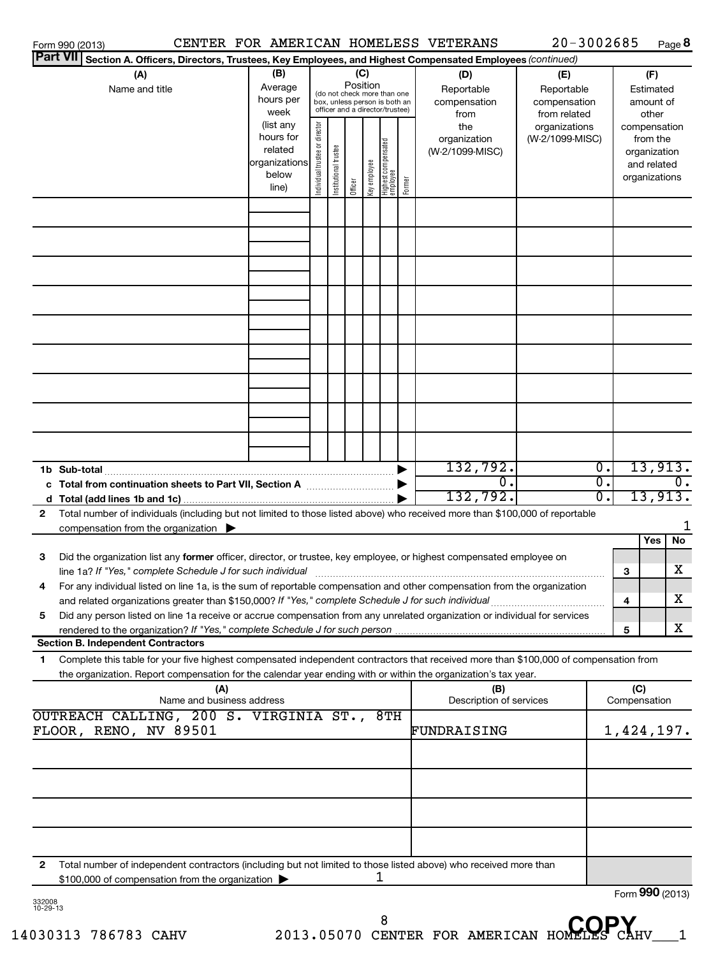|                    | Form 990 (2013)                                                                                                                                                                                                                                        |                                                         |                                |                       |          |              |                                                                                                 |        | CENTER FOR AMERICAN HOMELESS VETERANS            | $20 - 3002685$                                                     |                  | Page 8                                                                   |
|--------------------|--------------------------------------------------------------------------------------------------------------------------------------------------------------------------------------------------------------------------------------------------------|---------------------------------------------------------|--------------------------------|-----------------------|----------|--------------|-------------------------------------------------------------------------------------------------|--------|--------------------------------------------------|--------------------------------------------------------------------|------------------|--------------------------------------------------------------------------|
|                    | <b>Part VIII</b><br>Section A. Officers, Directors, Trustees, Key Employees, and Highest Compensated Employees (continued)                                                                                                                             |                                                         |                                |                       |          |              |                                                                                                 |        |                                                  |                                                                    |                  |                                                                          |
|                    | (A)<br>Name and title                                                                                                                                                                                                                                  | (B)<br>Average<br>hours per<br>week<br>(list any        |                                |                       | Position | (C)          | (do not check more than one<br>box, unless person is both an<br>officer and a director/trustee) |        | (D)<br>Reportable<br>compensation<br>from<br>the | (E)<br>Reportable<br>compensation<br>from related<br>organizations |                  | (F)<br>Estimated<br>amount of<br>other                                   |
|                    |                                                                                                                                                                                                                                                        | hours for<br>related<br>organizations<br>below<br>line) | Individual trustee or director | Institutional trustee | Officer  | Key employee | Highest compensated<br>employee                                                                 | Former | organization<br>(W-2/1099-MISC)                  | (W-2/1099-MISC)                                                    |                  | compensation<br>from the<br>organization<br>and related<br>organizations |
|                    |                                                                                                                                                                                                                                                        |                                                         |                                |                       |          |              |                                                                                                 |        |                                                  |                                                                    |                  |                                                                          |
|                    |                                                                                                                                                                                                                                                        |                                                         |                                |                       |          |              |                                                                                                 |        |                                                  |                                                                    |                  |                                                                          |
|                    |                                                                                                                                                                                                                                                        |                                                         |                                |                       |          |              |                                                                                                 |        |                                                  |                                                                    |                  |                                                                          |
|                    |                                                                                                                                                                                                                                                        |                                                         |                                |                       |          |              |                                                                                                 |        |                                                  |                                                                    |                  |                                                                          |
|                    |                                                                                                                                                                                                                                                        |                                                         |                                |                       |          |              |                                                                                                 |        |                                                  |                                                                    |                  |                                                                          |
|                    |                                                                                                                                                                                                                                                        |                                                         |                                |                       |          |              |                                                                                                 |        |                                                  |                                                                    |                  |                                                                          |
|                    |                                                                                                                                                                                                                                                        |                                                         |                                |                       |          |              |                                                                                                 |        | 132,792.                                         |                                                                    | $\overline{0}$ . | 13,913.                                                                  |
|                    | c Total from continuation sheets to Part VII, Section A <b>manual</b> Total from continuation                                                                                                                                                          |                                                         |                                |                       |          |              |                                                                                                 |        | $\overline{\mathfrak{o}}$ .<br>132,792.          |                                                                    | σ.<br>σ.         | $\overline{0}$ .<br>13,913.                                              |
| $\mathbf{2}$       | Total number of individuals (including but not limited to those listed above) who received more than \$100,000 of reportable<br>compensation from the organization $\blacktriangleright$                                                               |                                                         |                                |                       |          |              |                                                                                                 |        |                                                  |                                                                    |                  |                                                                          |
| 3                  | Did the organization list any former officer, director, or trustee, key employee, or highest compensated employee on<br>line 1a? If "Yes," complete Schedule J for such individual                                                                     |                                                         |                                |                       |          |              |                                                                                                 |        |                                                  |                                                                    | 3                | Yes<br>No<br>х                                                           |
| 4                  | For any individual listed on line 1a, is the sum of reportable compensation and other compensation from the organization                                                                                                                               |                                                         |                                |                       |          |              |                                                                                                 |        |                                                  |                                                                    | 4                | x                                                                        |
| 5                  | Did any person listed on line 1a receive or accrue compensation from any unrelated organization or individual for services<br>Section B. Independent Contractors                                                                                       |                                                         |                                |                       |          |              |                                                                                                 |        |                                                  |                                                                    | 5                | X                                                                        |
| 1                  | Complete this table for your five highest compensated independent contractors that received more than \$100,000 of compensation from<br>the organization. Report compensation for the calendar year ending with or within the organization's tax year. |                                                         |                                |                       |          |              |                                                                                                 |        |                                                  |                                                                    |                  |                                                                          |
|                    | (A)<br>Name and business address<br>OUTREACH CALLING, 200 S. VIRGINIA ST., 8TH                                                                                                                                                                         |                                                         |                                |                       |          |              |                                                                                                 |        | (B)<br>Description of services                   |                                                                    |                  | (C)<br>Compensation                                                      |
|                    | FLOOR, RENO, NV 89501                                                                                                                                                                                                                                  |                                                         |                                |                       |          |              |                                                                                                 |        | FUNDRAISING                                      |                                                                    |                  | 1,424,197.                                                               |
|                    |                                                                                                                                                                                                                                                        |                                                         |                                |                       |          |              |                                                                                                 |        |                                                  |                                                                    |                  |                                                                          |
|                    |                                                                                                                                                                                                                                                        |                                                         |                                |                       |          |              |                                                                                                 |        |                                                  |                                                                    |                  |                                                                          |
| 2                  | Total number of independent contractors (including but not limited to those listed above) who received more than                                                                                                                                       |                                                         |                                |                       |          |              |                                                                                                 |        |                                                  |                                                                    |                  |                                                                          |
|                    | \$100,000 of compensation from the organization                                                                                                                                                                                                        |                                                         |                                |                       |          |              | T                                                                                               |        |                                                  |                                                                    |                  | Form 990 (2013)                                                          |
| 332008<br>10-29-13 |                                                                                                                                                                                                                                                        |                                                         |                                |                       |          |              |                                                                                                 |        |                                                  |                                                                    |                  |                                                                          |

14030313 786783 CAHV 2013.05070 CENTER FOR AMERICAN HOMELES CAHV\_\_\_1 8<sup>8</sup> CENTER FOR AMERICAN HOMELES CAP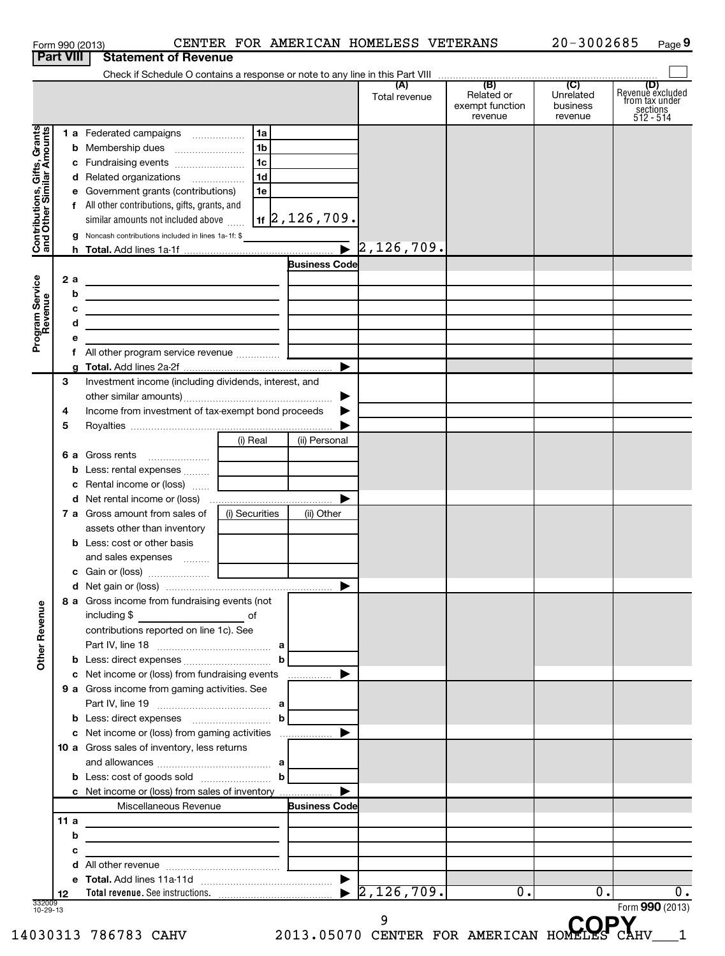| <b>Part VIII</b> | <b>Statement of Revenue</b>                |                                                                                     |                                                                                                                                                                                                                                                                                                                                                                                                                                                                                                                                                                                                                                                                                                                                             |                                                                                                                                                                                                                                                                                                                                                                                                                                                                                                                                                                                                                                                                                                                                                                 |                                                                                   |                                        |                                                               |
|------------------|--------------------------------------------|-------------------------------------------------------------------------------------|---------------------------------------------------------------------------------------------------------------------------------------------------------------------------------------------------------------------------------------------------------------------------------------------------------------------------------------------------------------------------------------------------------------------------------------------------------------------------------------------------------------------------------------------------------------------------------------------------------------------------------------------------------------------------------------------------------------------------------------------|-----------------------------------------------------------------------------------------------------------------------------------------------------------------------------------------------------------------------------------------------------------------------------------------------------------------------------------------------------------------------------------------------------------------------------------------------------------------------------------------------------------------------------------------------------------------------------------------------------------------------------------------------------------------------------------------------------------------------------------------------------------------|-----------------------------------------------------------------------------------|----------------------------------------|---------------------------------------------------------------|
|                  |                                            |                                                                                     |                                                                                                                                                                                                                                                                                                                                                                                                                                                                                                                                                                                                                                                                                                                                             |                                                                                                                                                                                                                                                                                                                                                                                                                                                                                                                                                                                                                                                                                                                                                                 |                                                                                   |                                        |                                                               |
|                  |                                            |                                                                                     |                                                                                                                                                                                                                                                                                                                                                                                                                                                                                                                                                                                                                                                                                                                                             |                                                                                                                                                                                                                                                                                                                                                                                                                                                                                                                                                                                                                                                                                                                                                                 |                                                                                   |                                        | (D)                                                           |
|                  |                                            |                                                                                     |                                                                                                                                                                                                                                                                                                                                                                                                                                                                                                                                                                                                                                                                                                                                             | Total revenue                                                                                                                                                                                                                                                                                                                                                                                                                                                                                                                                                                                                                                                                                                                                                   | Related or<br>exempt function<br>revenue                                          | Unrelated<br>business<br>revenue       | Revenue excluded<br>from tax under<br>sections<br>$512 - 514$ |
|                  |                                            | l 1a                                                                                |                                                                                                                                                                                                                                                                                                                                                                                                                                                                                                                                                                                                                                                                                                                                             |                                                                                                                                                                                                                                                                                                                                                                                                                                                                                                                                                                                                                                                                                                                                                                 |                                                                                   |                                        |                                                               |
|                  |                                            | 1b                                                                                  |                                                                                                                                                                                                                                                                                                                                                                                                                                                                                                                                                                                                                                                                                                                                             |                                                                                                                                                                                                                                                                                                                                                                                                                                                                                                                                                                                                                                                                                                                                                                 |                                                                                   |                                        |                                                               |
|                  |                                            | l 1c                                                                                |                                                                                                                                                                                                                                                                                                                                                                                                                                                                                                                                                                                                                                                                                                                                             |                                                                                                                                                                                                                                                                                                                                                                                                                                                                                                                                                                                                                                                                                                                                                                 |                                                                                   |                                        |                                                               |
|                  |                                            | 1 <sub>d</sub>                                                                      |                                                                                                                                                                                                                                                                                                                                                                                                                                                                                                                                                                                                                                                                                                                                             |                                                                                                                                                                                                                                                                                                                                                                                                                                                                                                                                                                                                                                                                                                                                                                 |                                                                                   |                                        |                                                               |
|                  |                                            | 1e                                                                                  |                                                                                                                                                                                                                                                                                                                                                                                                                                                                                                                                                                                                                                                                                                                                             |                                                                                                                                                                                                                                                                                                                                                                                                                                                                                                                                                                                                                                                                                                                                                                 |                                                                                   |                                        |                                                               |
|                  |                                            |                                                                                     |                                                                                                                                                                                                                                                                                                                                                                                                                                                                                                                                                                                                                                                                                                                                             |                                                                                                                                                                                                                                                                                                                                                                                                                                                                                                                                                                                                                                                                                                                                                                 |                                                                                   |                                        |                                                               |
|                  |                                            |                                                                                     |                                                                                                                                                                                                                                                                                                                                                                                                                                                                                                                                                                                                                                                                                                                                             |                                                                                                                                                                                                                                                                                                                                                                                                                                                                                                                                                                                                                                                                                                                                                                 |                                                                                   |                                        |                                                               |
|                  |                                            |                                                                                     |                                                                                                                                                                                                                                                                                                                                                                                                                                                                                                                                                                                                                                                                                                                                             |                                                                                                                                                                                                                                                                                                                                                                                                                                                                                                                                                                                                                                                                                                                                                                 |                                                                                   |                                        |                                                               |
|                  |                                            |                                                                                     |                                                                                                                                                                                                                                                                                                                                                                                                                                                                                                                                                                                                                                                                                                                                             |                                                                                                                                                                                                                                                                                                                                                                                                                                                                                                                                                                                                                                                                                                                                                                 |                                                                                   |                                        |                                                               |
|                  |                                            |                                                                                     |                                                                                                                                                                                                                                                                                                                                                                                                                                                                                                                                                                                                                                                                                                                                             |                                                                                                                                                                                                                                                                                                                                                                                                                                                                                                                                                                                                                                                                                                                                                                 |                                                                                   |                                        |                                                               |
|                  |                                            |                                                                                     |                                                                                                                                                                                                                                                                                                                                                                                                                                                                                                                                                                                                                                                                                                                                             |                                                                                                                                                                                                                                                                                                                                                                                                                                                                                                                                                                                                                                                                                                                                                                 |                                                                                   |                                        |                                                               |
|                  |                                            |                                                                                     |                                                                                                                                                                                                                                                                                                                                                                                                                                                                                                                                                                                                                                                                                                                                             |                                                                                                                                                                                                                                                                                                                                                                                                                                                                                                                                                                                                                                                                                                                                                                 |                                                                                   |                                        |                                                               |
|                  |                                            |                                                                                     |                                                                                                                                                                                                                                                                                                                                                                                                                                                                                                                                                                                                                                                                                                                                             |                                                                                                                                                                                                                                                                                                                                                                                                                                                                                                                                                                                                                                                                                                                                                                 |                                                                                   |                                        |                                                               |
|                  |                                            |                                                                                     |                                                                                                                                                                                                                                                                                                                                                                                                                                                                                                                                                                                                                                                                                                                                             |                                                                                                                                                                                                                                                                                                                                                                                                                                                                                                                                                                                                                                                                                                                                                                 |                                                                                   |                                        |                                                               |
|                  |                                            |                                                                                     |                                                                                                                                                                                                                                                                                                                                                                                                                                                                                                                                                                                                                                                                                                                                             |                                                                                                                                                                                                                                                                                                                                                                                                                                                                                                                                                                                                                                                                                                                                                                 |                                                                                   |                                        |                                                               |
|                  |                                            |                                                                                     |                                                                                                                                                                                                                                                                                                                                                                                                                                                                                                                                                                                                                                                                                                                                             |                                                                                                                                                                                                                                                                                                                                                                                                                                                                                                                                                                                                                                                                                                                                                                 |                                                                                   |                                        |                                                               |
|                  |                                            |                                                                                     |                                                                                                                                                                                                                                                                                                                                                                                                                                                                                                                                                                                                                                                                                                                                             |                                                                                                                                                                                                                                                                                                                                                                                                                                                                                                                                                                                                                                                                                                                                                                 |                                                                                   |                                        |                                                               |
|                  |                                            |                                                                                     |                                                                                                                                                                                                                                                                                                                                                                                                                                                                                                                                                                                                                                                                                                                                             |                                                                                                                                                                                                                                                                                                                                                                                                                                                                                                                                                                                                                                                                                                                                                                 |                                                                                   |                                        |                                                               |
|                  |                                            |                                                                                     |                                                                                                                                                                                                                                                                                                                                                                                                                                                                                                                                                                                                                                                                                                                                             |                                                                                                                                                                                                                                                                                                                                                                                                                                                                                                                                                                                                                                                                                                                                                                 |                                                                                   |                                        |                                                               |
|                  |                                            |                                                                                     |                                                                                                                                                                                                                                                                                                                                                                                                                                                                                                                                                                                                                                                                                                                                             |                                                                                                                                                                                                                                                                                                                                                                                                                                                                                                                                                                                                                                                                                                                                                                 |                                                                                   |                                        |                                                               |
|                  |                                            |                                                                                     |                                                                                                                                                                                                                                                                                                                                                                                                                                                                                                                                                                                                                                                                                                                                             |                                                                                                                                                                                                                                                                                                                                                                                                                                                                                                                                                                                                                                                                                                                                                                 |                                                                                   |                                        |                                                               |
| 6а               |                                            |                                                                                     |                                                                                                                                                                                                                                                                                                                                                                                                                                                                                                                                                                                                                                                                                                                                             |                                                                                                                                                                                                                                                                                                                                                                                                                                                                                                                                                                                                                                                                                                                                                                 |                                                                                   |                                        |                                                               |
|                  |                                            |                                                                                     |                                                                                                                                                                                                                                                                                                                                                                                                                                                                                                                                                                                                                                                                                                                                             |                                                                                                                                                                                                                                                                                                                                                                                                                                                                                                                                                                                                                                                                                                                                                                 |                                                                                   |                                        |                                                               |
|                  |                                            |                                                                                     |                                                                                                                                                                                                                                                                                                                                                                                                                                                                                                                                                                                                                                                                                                                                             |                                                                                                                                                                                                                                                                                                                                                                                                                                                                                                                                                                                                                                                                                                                                                                 |                                                                                   |                                        |                                                               |
|                  |                                            |                                                                                     | ▶                                                                                                                                                                                                                                                                                                                                                                                                                                                                                                                                                                                                                                                                                                                                           |                                                                                                                                                                                                                                                                                                                                                                                                                                                                                                                                                                                                                                                                                                                                                                 |                                                                                   |                                        |                                                               |
|                  |                                            |                                                                                     | (ii) Other                                                                                                                                                                                                                                                                                                                                                                                                                                                                                                                                                                                                                                                                                                                                  |                                                                                                                                                                                                                                                                                                                                                                                                                                                                                                                                                                                                                                                                                                                                                                 |                                                                                   |                                        |                                                               |
|                  | assets other than inventory                |                                                                                     |                                                                                                                                                                                                                                                                                                                                                                                                                                                                                                                                                                                                                                                                                                                                             |                                                                                                                                                                                                                                                                                                                                                                                                                                                                                                                                                                                                                                                                                                                                                                 |                                                                                   |                                        |                                                               |
|                  |                                            |                                                                                     |                                                                                                                                                                                                                                                                                                                                                                                                                                                                                                                                                                                                                                                                                                                                             |                                                                                                                                                                                                                                                                                                                                                                                                                                                                                                                                                                                                                                                                                                                                                                 |                                                                                   |                                        |                                                               |
|                  |                                            |                                                                                     |                                                                                                                                                                                                                                                                                                                                                                                                                                                                                                                                                                                                                                                                                                                                             |                                                                                                                                                                                                                                                                                                                                                                                                                                                                                                                                                                                                                                                                                                                                                                 |                                                                                   |                                        |                                                               |
|                  |                                            |                                                                                     |                                                                                                                                                                                                                                                                                                                                                                                                                                                                                                                                                                                                                                                                                                                                             |                                                                                                                                                                                                                                                                                                                                                                                                                                                                                                                                                                                                                                                                                                                                                                 |                                                                                   |                                        |                                                               |
|                  |                                            |                                                                                     |                                                                                                                                                                                                                                                                                                                                                                                                                                                                                                                                                                                                                                                                                                                                             |                                                                                                                                                                                                                                                                                                                                                                                                                                                                                                                                                                                                                                                                                                                                                                 |                                                                                   |                                        |                                                               |
|                  |                                            |                                                                                     |                                                                                                                                                                                                                                                                                                                                                                                                                                                                                                                                                                                                                                                                                                                                             |                                                                                                                                                                                                                                                                                                                                                                                                                                                                                                                                                                                                                                                                                                                                                                 |                                                                                   |                                        |                                                               |
|                  | including \$                               |                                                                                     |                                                                                                                                                                                                                                                                                                                                                                                                                                                                                                                                                                                                                                                                                                                                             |                                                                                                                                                                                                                                                                                                                                                                                                                                                                                                                                                                                                                                                                                                                                                                 |                                                                                   |                                        |                                                               |
|                  |                                            |                                                                                     |                                                                                                                                                                                                                                                                                                                                                                                                                                                                                                                                                                                                                                                                                                                                             |                                                                                                                                                                                                                                                                                                                                                                                                                                                                                                                                                                                                                                                                                                                                                                 |                                                                                   |                                        |                                                               |
|                  |                                            |                                                                                     |                                                                                                                                                                                                                                                                                                                                                                                                                                                                                                                                                                                                                                                                                                                                             |                                                                                                                                                                                                                                                                                                                                                                                                                                                                                                                                                                                                                                                                                                                                                                 |                                                                                   |                                        |                                                               |
|                  |                                            |                                                                                     |                                                                                                                                                                                                                                                                                                                                                                                                                                                                                                                                                                                                                                                                                                                                             |                                                                                                                                                                                                                                                                                                                                                                                                                                                                                                                                                                                                                                                                                                                                                                 |                                                                                   |                                        |                                                               |
|                  |                                            |                                                                                     |                                                                                                                                                                                                                                                                                                                                                                                                                                                                                                                                                                                                                                                                                                                                             |                                                                                                                                                                                                                                                                                                                                                                                                                                                                                                                                                                                                                                                                                                                                                                 |                                                                                   |                                        |                                                               |
|                  |                                            |                                                                                     |                                                                                                                                                                                                                                                                                                                                                                                                                                                                                                                                                                                                                                                                                                                                             |                                                                                                                                                                                                                                                                                                                                                                                                                                                                                                                                                                                                                                                                                                                                                                 |                                                                                   |                                        |                                                               |
|                  |                                            |                                                                                     |                                                                                                                                                                                                                                                                                                                                                                                                                                                                                                                                                                                                                                                                                                                                             |                                                                                                                                                                                                                                                                                                                                                                                                                                                                                                                                                                                                                                                                                                                                                                 |                                                                                   |                                        |                                                               |
|                  |                                            |                                                                                     |                                                                                                                                                                                                                                                                                                                                                                                                                                                                                                                                                                                                                                                                                                                                             |                                                                                                                                                                                                                                                                                                                                                                                                                                                                                                                                                                                                                                                                                                                                                                 |                                                                                   |                                        |                                                               |
|                  |                                            |                                                                                     | ▶                                                                                                                                                                                                                                                                                                                                                                                                                                                                                                                                                                                                                                                                                                                                           |                                                                                                                                                                                                                                                                                                                                                                                                                                                                                                                                                                                                                                                                                                                                                                 |                                                                                   |                                        |                                                               |
|                  |                                            |                                                                                     |                                                                                                                                                                                                                                                                                                                                                                                                                                                                                                                                                                                                                                                                                                                                             |                                                                                                                                                                                                                                                                                                                                                                                                                                                                                                                                                                                                                                                                                                                                                                 |                                                                                   |                                        |                                                               |
|                  |                                            |                                                                                     |                                                                                                                                                                                                                                                                                                                                                                                                                                                                                                                                                                                                                                                                                                                                             |                                                                                                                                                                                                                                                                                                                                                                                                                                                                                                                                                                                                                                                                                                                                                                 |                                                                                   |                                        |                                                               |
|                  |                                            |                                                                                     |                                                                                                                                                                                                                                                                                                                                                                                                                                                                                                                                                                                                                                                                                                                                             |                                                                                                                                                                                                                                                                                                                                                                                                                                                                                                                                                                                                                                                                                                                                                                 |                                                                                   |                                        |                                                               |
|                  |                                            |                                                                                     |                                                                                                                                                                                                                                                                                                                                                                                                                                                                                                                                                                                                                                                                                                                                             |                                                                                                                                                                                                                                                                                                                                                                                                                                                                                                                                                                                                                                                                                                                                                                 |                                                                                   |                                        |                                                               |
|                  |                                            |                                                                                     |                                                                                                                                                                                                                                                                                                                                                                                                                                                                                                                                                                                                                                                                                                                                             |                                                                                                                                                                                                                                                                                                                                                                                                                                                                                                                                                                                                                                                                                                                                                                 |                                                                                   |                                        |                                                               |
|                  |                                            |                                                                                     |                                                                                                                                                                                                                                                                                                                                                                                                                                                                                                                                                                                                                                                                                                                                             |                                                                                                                                                                                                                                                                                                                                                                                                                                                                                                                                                                                                                                                                                                                                                                 |                                                                                   |                                        |                                                               |
|                  |                                            |                                                                                     |                                                                                                                                                                                                                                                                                                                                                                                                                                                                                                                                                                                                                                                                                                                                             |                                                                                                                                                                                                                                                                                                                                                                                                                                                                                                                                                                                                                                                                                                                                                                 |                                                                                   |                                        |                                                               |
| с                |                                            |                                                                                     |                                                                                                                                                                                                                                                                                                                                                                                                                                                                                                                                                                                                                                                                                                                                             |                                                                                                                                                                                                                                                                                                                                                                                                                                                                                                                                                                                                                                                                                                                                                                 |                                                                                   |                                        |                                                               |
|                  |                                            |                                                                                     |                                                                                                                                                                                                                                                                                                                                                                                                                                                                                                                                                                                                                                                                                                                                             |                                                                                                                                                                                                                                                                                                                                                                                                                                                                                                                                                                                                                                                                                                                                                                 |                                                                                   |                                        |                                                               |
|                  |                                            |                                                                                     |                                                                                                                                                                                                                                                                                                                                                                                                                                                                                                                                                                                                                                                                                                                                             |                                                                                                                                                                                                                                                                                                                                                                                                                                                                                                                                                                                                                                                                                                                                                                 |                                                                                   |                                        | $\overline{0}$ .                                              |
|                  |                                            |                                                                                     |                                                                                                                                                                                                                                                                                                                                                                                                                                                                                                                                                                                                                                                                                                                                             |                                                                                                                                                                                                                                                                                                                                                                                                                                                                                                                                                                                                                                                                                                                                                                 |                                                                                   |                                        | Form 990 (2013)                                               |
| $10 - 29 - 13$   | 2 a<br>b<br>3<br>4<br>5<br>11 a<br>b<br>12 | Gross rents<br>7 a Gross amount from sales of<br><b>b</b> Less: cost or other basis | 1 a Federated campaigns<br>d Related organizations<br>e Government grants (contributions)<br>f All other contributions, gifts, grants, and<br>similar amounts not included above<br><u> 1989 - Johann Barn, mars ann an t-Amhain an t-Amhain an t-Amhain an t-Amhain an t-Amhain an t-Amhain an t-A</u><br>(i) Real<br>Less: rental expenses<br>c Rental income or (loss)<br>and sales expenses<br>8 a Gross income from fundraising events (not<br><u>and the second second second</u> of<br>contributions reported on line 1c). See<br>9 a Gross income from gaming activities. See<br>10 a Gross sales of inventory, less returns<br>Miscellaneous Revenue<br>the control of the control of the control of the control of the control of | Noncash contributions included in lines 1a-1f: \$<br><u> 1989 - Johann Barn, mars ann an t-Amhain ann an t-Amhain an t-Amhain an t-Amhain an t-Amhain an t-Amhain an t-</u><br><u> 1989 - Johann Barbara, martin amerikan basal dan berasal dalam basal dalam basal dalam basal dalam basal dala</u><br>Investment income (including dividends, interest, and<br>▶<br>Income from investment of tax-exempt bond proceeds<br>(ii) Personal<br>(i) Securities<br>b<br>c Net income or (loss) from fundraising events<br>c Net income or (loss) from gaming activities<br>and allowances $\ldots$ , $a$ [<br><b>b</b> Less: cost of goods sold $\ldots$ <b>b</b><br>c Net income or (loss) from sales of inventory<br><u> 1989 - Andrea Andrew Maria (b. 1989)</u> | $\vert$ 1f $\vert$ 2 , 126 , 709 $\cdot$<br>Business Code<br><b>Business Code</b> | $\blacktriangleright$ 2,126,709.<br>0. | 0.                                                            |

14030313 786783 CAHV 2013.05070 CENTER FOR AMERICAN HOMELES CAHV\_\_\_1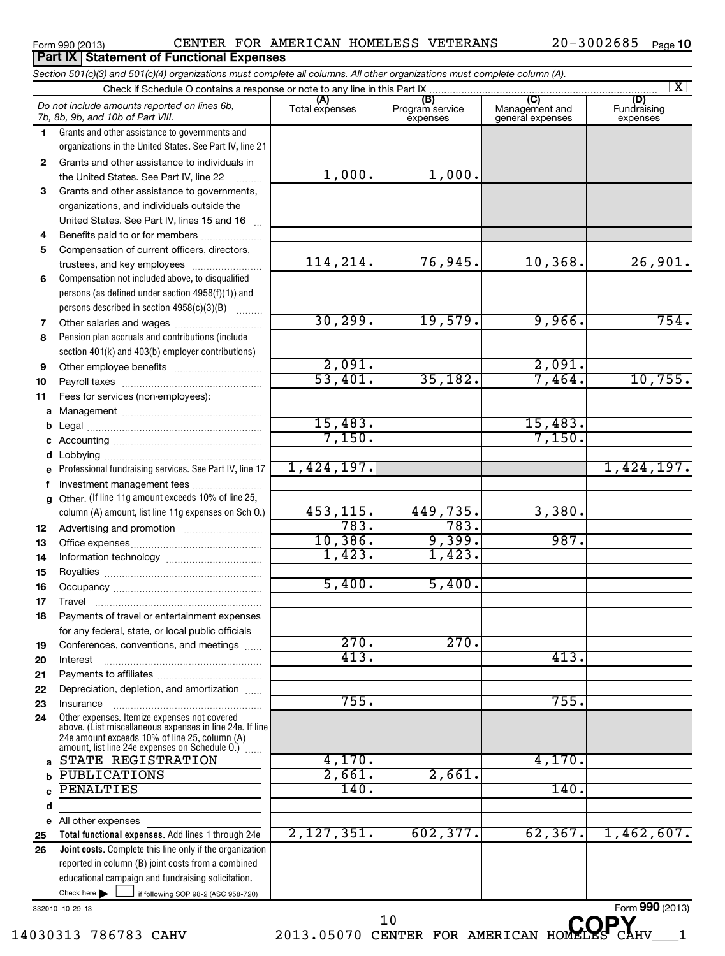### Form 990 (2013)  $\,$  CENTER FOR AMERICAN HOMELESS VETERANS  $\,$  20-3002685  $\,$  Page

**10**

### $\frac{1}{2}$  if following SOP 98-2 (ASC 958-720) **Total functional expenses.**  Add lines 1 through 24e **Joint costs.** Complete this line only if the organization **(A) (B) (C) (D) 1 2 3 4 5 6 7 8 9 10 11 a** Management ~~~~~~~~~~~~~~~~ **b c d e f g 12 13 14 15 16 17 18 19 20 21 22 23 24 a b c d e 25 26** *Section 501(c)(3) and 501(c)(4) organizations must complete all columns. All other organizations must complete column (A).* Grants and other assistance to governments and organizations in the United States. See Part IV, line 21 Compensation not included above, to disqualified persons (as defined under section 4958(f)(1)) and persons described in section 4958(c)(3)(B)  $\quad \quad \ldots \ldots \ldots$ Pension plan accruals and contributions (include section 401(k) and 403(b) employer contributions) Professional fundraising services. See Part IV, line 17 Other. (If line 11g amount exceeds 10% of line 25, column (A) amount, list line 11g expenses on Sch O.) Other expenses. Itemize expenses not covered above. (List miscellaneous expenses in line 24e. If line 24e amount exceeds 10% of line 25, column (A) amount, list line 24e expenses on Schedule O.)  $\, \ldots \,$ reported in column (B) joint costs from a combined educational campaign and fundraising solicitation. Check if Schedule O contains a response or note to any line in this Part IX [11] CONCORDITY CONCORDITY CONCORDI<br>
CONCORDITY CONCORDITY CONCORDITY CONCORDITY CONCORDITY CONCORDITY CONCORDITY CONCORDITY CONCORDITY CONCORDITY (A) (B)<br>Total expenses Program service expenses Management and general expenses Fundraising expenses Grants and other assistance to individuals in the United States. See Part IV, line 22 Grants and other assistance to governments, organizations, and individuals outside the United States. See Part IV, lines 15 and 16 ~ Benefits paid to or for members .................... Compensation of current officers, directors, trustees, and key employees ......................... Other salaries and wages ~~~~~~~~~~ Other employee benefits ~~~~~~~~~~ Payroll taxes ~~~~~~~~~~~~~~~~ Fees for services (non-employees): Legal ~~~~~~~~~~~~~~~~~~~~ Accounting ~~~~~~~~~~~~~~~~~ Lobbying ~~~~~~~~~~~~~~~~~~ Investment management fees ........................ Advertising and promotion ~~~~~~~~~ Office expenses ~~~~~~~~~~~~~~~ Information technology ~~~~~~~~~~~ Royalties ~~~~~~~~~~~~~~~~~~ Occupancy ~~~~~~~~~~~~~~~~~ Travel ………………………………………………… Payments of travel or entertainment expenses for any federal, state, or local public officials Conferences, conventions, and meetings ...... Interest Payments to affiliates ~~~~~~~~~~~~ ~~~~~~~~~~~~~~~~~~ Depreciation, depletion, and amortization ...... Insurance ~~~~~~~~~~~~~~~~~ All other expenses Check here  $\blacktriangleright$ *Do not include amounts reported on lines 6b, 7b, 8b, 9b, and 10b of Part VIII.* **Part IX Statement of Functional Expenses**  $\lfloor x \rfloor$  $\Box$ 1,000. 1,000. 114,214. 76,945. 10,368. 26,901. 30,299. 19,579. 9,966. 754. 2,091. 2,091. 53,401. 35,182. 7,464. 10,755. 15,483. 15,483. 7,150. 7,150. 1,424,197. 1,424,197. 453,115. 449,735. 3,380. 783. 783. 10,386. 9,399. 987. 1,423. 1,423. 5,400. 5,400.  $270.$   $270.$ 413. 413. 755. 755. STATE REGISTRATION  $\sqrt{4,170.}$  4,170. PUBLICATIONS 2,661. 2,661. PENALTIES 140. 140. 2,127,351. 602,377. 62,367. 1,462,607.

332010 10-29-13

14030313 786783 CAHV 2013.05070 CENTER FOR AMERICAN HOMELES CAHV\_\_\_1

<sup>10</sup> CENTER FOR AMERICAN HOMELES CAP

Form **990** (2013)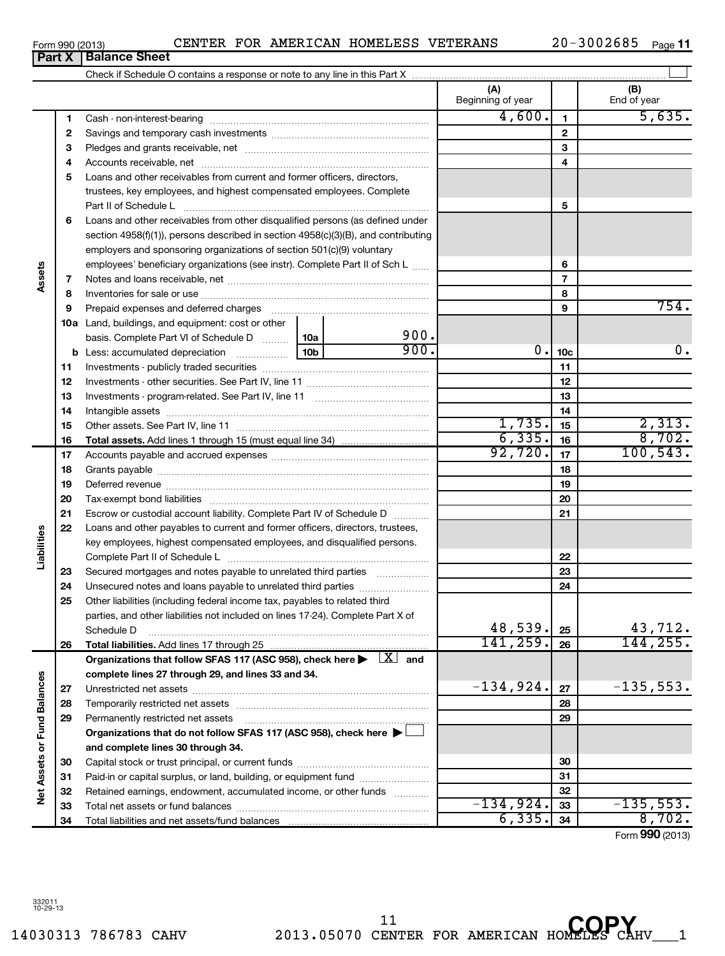14030313 786783 CAHV 2013.05070 CENTER FOR AMERICAN HOMELES CAHV\_\_\_1 **COPY**11

Form (2013) **990**

|                             |          |                                                                                                                                                                                                                                |      | (A)<br>Beginning of year |                 | (B)<br>End of year   |
|-----------------------------|----------|--------------------------------------------------------------------------------------------------------------------------------------------------------------------------------------------------------------------------------|------|--------------------------|-----------------|----------------------|
|                             | 1        |                                                                                                                                                                                                                                |      | 4,600.                   | $\mathbf{1}$    | 5,635.               |
|                             | 2        |                                                                                                                                                                                                                                |      |                          | $\mathbf{2}$    |                      |
|                             | з        |                                                                                                                                                                                                                                |      |                          | 3               |                      |
|                             | 4        |                                                                                                                                                                                                                                |      |                          | 4               |                      |
|                             | 5        | Loans and other receivables from current and former officers, directors,                                                                                                                                                       |      |                          |                 |                      |
|                             |          | trustees, key employees, and highest compensated employees. Complete                                                                                                                                                           |      |                          |                 |                      |
|                             |          |                                                                                                                                                                                                                                |      |                          | 5               |                      |
|                             | 6        | Loans and other receivables from other disqualified persons (as defined under                                                                                                                                                  |      |                          |                 |                      |
|                             |          | section 4958(f)(1)), persons described in section 4958(c)(3)(B), and contributing                                                                                                                                              |      |                          |                 |                      |
|                             |          | employers and sponsoring organizations of section 501(c)(9) voluntary                                                                                                                                                          |      |                          |                 |                      |
|                             |          | employees' beneficiary organizations (see instr). Complete Part II of Sch L                                                                                                                                                    |      |                          | 6               |                      |
| Assets                      | 7        |                                                                                                                                                                                                                                |      |                          | $\overline{7}$  |                      |
|                             | 8        |                                                                                                                                                                                                                                |      |                          | 8               |                      |
|                             | 9        | Prepaid expenses and deferred charges [11] [11] prepaid expenses and deferred charges [11] [11] minimum and the Prepaid expenses and deferred charges [11] minimum and the Prepaid expenses and the Prepaid experiment of Prep |      |                          | 9               | 754.                 |
|                             |          | <b>10a</b> Land, buildings, and equipment: cost or other                                                                                                                                                                       |      |                          |                 |                      |
|                             |          | basis. Complete Part VI of Schedule D  10a                                                                                                                                                                                     | 900. |                          |                 |                      |
|                             |          | <u>10</u> b<br><b>b</b> Less: accumulated depreciation                                                                                                                                                                         | 900. | 0.1                      | 10 <sub>c</sub> | 0.                   |
|                             | 11       |                                                                                                                                                                                                                                |      |                          | 11              |                      |
|                             | 12       |                                                                                                                                                                                                                                |      |                          | 12              |                      |
|                             | 13       |                                                                                                                                                                                                                                |      |                          | 13              |                      |
|                             | 14       |                                                                                                                                                                                                                                |      |                          | 14              |                      |
|                             | 15       |                                                                                                                                                                                                                                |      | 1,735.                   | 15              | 2,313.               |
|                             | 16       |                                                                                                                                                                                                                                |      | 6, 335.                  | 16              | 8,702.               |
|                             | 17       |                                                                                                                                                                                                                                |      | 92,720.                  | 17              | 100, 543.            |
|                             | 18       |                                                                                                                                                                                                                                |      |                          | 18              |                      |
|                             | 19       |                                                                                                                                                                                                                                |      |                          | 19              |                      |
|                             | 20       |                                                                                                                                                                                                                                |      |                          | 20              |                      |
|                             | 21       | Escrow or custodial account liability. Complete Part IV of Schedule D                                                                                                                                                          |      |                          | 21              |                      |
|                             | 22       | Loans and other payables to current and former officers, directors, trustees,                                                                                                                                                  |      |                          |                 |                      |
| Liabilities                 |          | key employees, highest compensated employees, and disqualified persons.                                                                                                                                                        |      |                          |                 |                      |
|                             |          |                                                                                                                                                                                                                                |      |                          | 22              |                      |
|                             | 23       |                                                                                                                                                                                                                                |      |                          | 23              |                      |
|                             | 24       | Unsecured notes and loans payable to unrelated third parties                                                                                                                                                                   |      |                          | 24              |                      |
|                             | 25       | Other liabilities (including federal income tax, payables to related third                                                                                                                                                     |      |                          |                 |                      |
|                             |          | parties, and other liabilities not included on lines 17-24). Complete Part X of                                                                                                                                                |      |                          |                 |                      |
|                             |          | Schedule D                                                                                                                                                                                                                     |      | 48,539.<br>141, 259.     | 25              | 43,712.<br>144, 255. |
|                             | 26       |                                                                                                                                                                                                                                |      |                          | 26              |                      |
|                             |          | Organizations that follow SFAS 117 (ASC 958), check here $\blacktriangleright \begin{array}{c} \perp X \end{array}$ and                                                                                                        |      |                          |                 |                      |
|                             |          | complete lines 27 through 29, and lines 33 and 34.                                                                                                                                                                             |      | $-134,924.$              |                 | $-135,553.$          |
|                             | 27       |                                                                                                                                                                                                                                |      |                          | 27              |                      |
|                             | 28       | Temporarily restricted net assets                                                                                                                                                                                              |      |                          | 28              |                      |
|                             | 29       | Permanently restricted net assets                                                                                                                                                                                              |      |                          | 29              |                      |
| Net Assets or Fund Balances |          | Organizations that do not follow SFAS 117 (ASC 958), check here ▶                                                                                                                                                              |      |                          |                 |                      |
|                             |          | and complete lines 30 through 34.                                                                                                                                                                                              |      |                          | 30              |                      |
|                             | 30       | Paid-in or capital surplus, or land, building, or equipment fund                                                                                                                                                               |      |                          | 31              |                      |
|                             | 31<br>32 | Retained earnings, endowment, accumulated income, or other funds                                                                                                                                                               |      |                          | 32              |                      |
|                             | 33       |                                                                                                                                                                                                                                |      | $-134,924.$              | 33              | $-135,553.$          |
|                             | 34       |                                                                                                                                                                                                                                |      | 6,335.                   | 34              | 8,702.               |
|                             |          |                                                                                                                                                                                                                                |      |                          |                 |                      |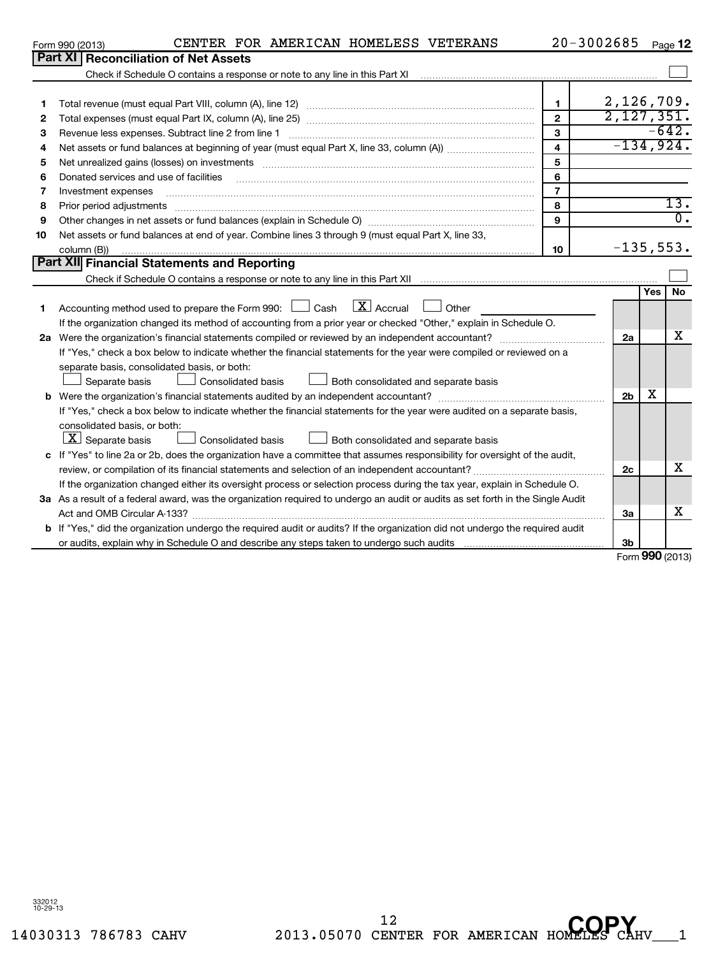332012 10-29-13

## Form 990 (2013)  $\,$  CENTER FOR AMERICAN HOMELESS VETERANS  $\,$  20-3002685  $\,$  Page

20-3002685 Pegg 12

|    | Form 990 (2013)<br>CENIER FOR AMERICAN HOMEDESS VEIERANS                                                                        |                | <b>JUULUUJ</b>           |     | Page iZ           |
|----|---------------------------------------------------------------------------------------------------------------------------------|----------------|--------------------------|-----|-------------------|
|    | <b>Part XI Reconciliation of Net Assets</b>                                                                                     |                |                          |     |                   |
|    |                                                                                                                                 |                |                          |     |                   |
|    |                                                                                                                                 |                |                          |     |                   |
| 1. |                                                                                                                                 | 1              | 2,126,709.               |     |                   |
| 2  |                                                                                                                                 | $\overline{2}$ | $\overline{2,127,351}$ . |     |                   |
| з  |                                                                                                                                 | 3              |                          |     | $-642.$           |
| 4  |                                                                                                                                 | $\overline{4}$ | $-134,924.$              |     |                   |
| 5  | Net unrealized gains (losses) on investments [111] www.martime.community.community.community.community.communi                  | 5              |                          |     |                   |
| 6  | Donated services and use of facilities                                                                                          | 6              |                          |     |                   |
| 7  | Investment expenses                                                                                                             | $\overline{7}$ |                          |     |                   |
| 8  | Prior period adjustments                                                                                                        | 8              |                          |     | $\overline{13}$ . |
| 9  |                                                                                                                                 | 9              |                          |     | $0$ .             |
| 10 | Net assets or fund balances at end of year. Combine lines 3 through 9 (must equal Part X, line 33,                              |                |                          |     |                   |
|    | column (B))                                                                                                                     | 10             | $-135,553.$              |     |                   |
|    | Part XII Financial Statements and Reporting                                                                                     |                |                          |     |                   |
|    |                                                                                                                                 |                |                          |     |                   |
|    |                                                                                                                                 |                |                          | Yes | No                |
| 1. | $\lfloor \mathbf{X} \rfloor$ Accrual<br>Accounting method used to prepare the Form 990: $\Box$ Cash<br>$\Box$ Other             |                |                          |     |                   |
|    | If the organization changed its method of accounting from a prior year or checked "Other," explain in Schedule O.               |                |                          |     |                   |
|    | 2a Were the organization's financial statements compiled or reviewed by an independent accountant?                              |                | 2a                       |     | X                 |
|    | If "Yes," check a box below to indicate whether the financial statements for the year were compiled or reviewed on a            |                |                          |     |                   |
|    | separate basis, consolidated basis, or both:                                                                                    |                |                          |     |                   |
|    | Separate basis<br>Consolidated basis<br>Both consolidated and separate basis                                                    |                |                          |     |                   |
|    |                                                                                                                                 |                | 2 <sub>b</sub>           | х   |                   |
|    | If "Yes," check a box below to indicate whether the financial statements for the year were audited on a separate basis,         |                |                          |     |                   |
|    | consolidated basis, or both:                                                                                                    |                |                          |     |                   |
|    | $ \mathbf{X} $ Separate basis<br><b>Consolidated basis</b><br>Both consolidated and separate basis                              |                |                          |     |                   |
| c  | If "Yes" to line 2a or 2b, does the organization have a committee that assumes responsibility for oversight of the audit,       |                |                          |     |                   |
|    |                                                                                                                                 |                | 2c                       |     | х                 |
|    | If the organization changed either its oversight process or selection process during the tax year, explain in Schedule O.       |                |                          |     |                   |
|    | 3a As a result of a federal award, was the organization required to undergo an audit or audits as set forth in the Single Audit |                |                          |     |                   |
|    |                                                                                                                                 |                | За                       |     | х                 |
|    | b If "Yes," did the organization undergo the required audit or audits? If the organization did not undergo the required audit   |                |                          |     |                   |
|    |                                                                                                                                 |                | 3 <sub>b</sub>           |     |                   |

Form **990** (2013)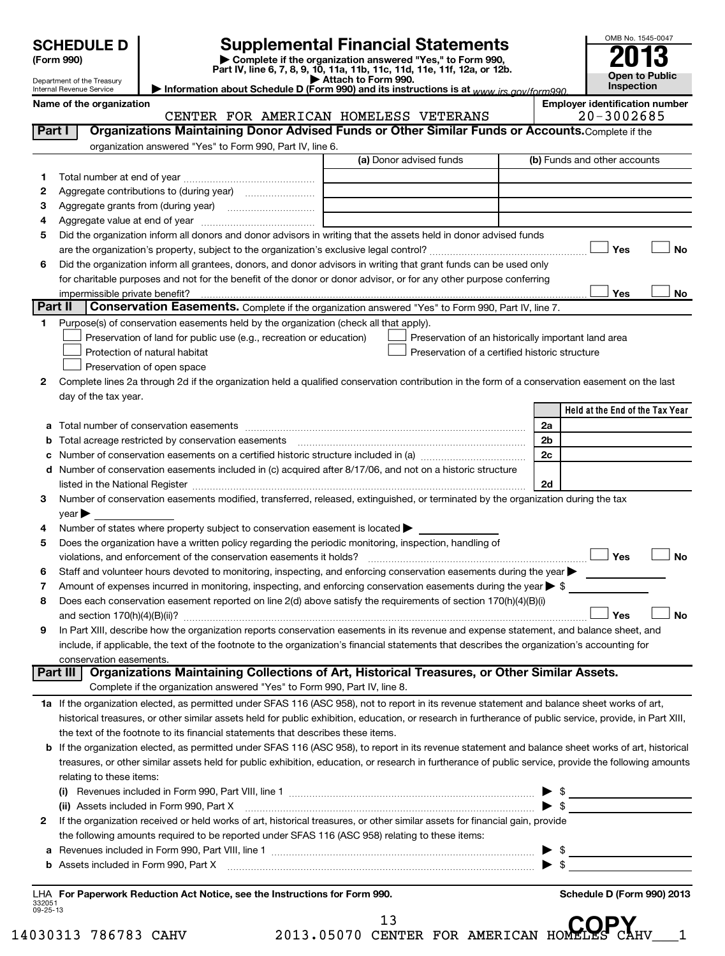| <b>SCHEDULE D</b><br>(Form 990)<br>Department of the Treasury<br>Internal Revenue Service |                                                                                                   | <b>Supplemental Financial Statements</b><br>Complete if the organization answered "Yes," to Form 990,<br>Part IV, line 6, 7, 8, 9, 10, 11a, 11b, 11c, 11d, 11e, 11f, 12a, or 12b.<br>Attach to Form 990.<br>Information about Schedule D (Form 990) and its instructions is at www irs gov/form990 | OMB No. 1545-004<br>2013<br>Open to Publ<br><b>Inspection</b> |
|-------------------------------------------------------------------------------------------|---------------------------------------------------------------------------------------------------|----------------------------------------------------------------------------------------------------------------------------------------------------------------------------------------------------------------------------------------------------------------------------------------------------|---------------------------------------------------------------|
| Name of the organization                                                                  |                                                                                                   |                                                                                                                                                                                                                                                                                                    | <b>Employer identification nur</b>                            |
|                                                                                           | CENTER FOR AMERICAN                                                                               | HOMELESS VETERANS                                                                                                                                                                                                                                                                                  | $20 - 3002685$                                                |
| Part I                                                                                    | Organizations Maintaining Donor Advised Funds or Other Similar Funds or Accounts. Complete if the |                                                                                                                                                                                                                                                                                                    |                                                               |
|                                                                                           | organization answered "Yes" to Form 990, Part IV, line 6.                                         |                                                                                                                                                                                                                                                                                                    |                                                               |
|                                                                                           |                                                                                                   | (a) Donor advised funds                                                                                                                                                                                                                                                                            | (b) Funds and other accounts                                  |
| Total number at end of year                                                               |                                                                                                   |                                                                                                                                                                                                                                                                                                    |                                                               |
|                                                                                           |                                                                                                   |                                                                                                                                                                                                                                                                                                    |                                                               |

**Employer identification number**  $20 - 3002685$ 

OMB No. 1545-0047

**Open to Public Inspection**

|                 | organization answered "Yes" to Form 990, Part IV, line 6.                                                                                                  |                                                     |                                 |
|-----------------|------------------------------------------------------------------------------------------------------------------------------------------------------------|-----------------------------------------------------|---------------------------------|
|                 |                                                                                                                                                            | (a) Donor advised funds                             | (b) Funds and other accounts    |
| 1               |                                                                                                                                                            |                                                     |                                 |
| 2               |                                                                                                                                                            |                                                     |                                 |
| з               |                                                                                                                                                            |                                                     |                                 |
| 4               |                                                                                                                                                            |                                                     |                                 |
| 5               | Did the organization inform all donors and donor advisors in writing that the assets held in donor advised funds                                           |                                                     |                                 |
|                 |                                                                                                                                                            |                                                     | Yes<br><b>No</b>                |
| 6               | Did the organization inform all grantees, donors, and donor advisors in writing that grant funds can be used only                                          |                                                     |                                 |
|                 | for charitable purposes and not for the benefit of the donor or donor advisor, or for any other purpose conferring                                         |                                                     |                                 |
|                 |                                                                                                                                                            |                                                     | Yes<br>No                       |
| Part II         | Conservation Easements. Complete if the organization answered "Yes" to Form 990, Part IV, line 7.                                                          |                                                     |                                 |
| 1               | Purpose(s) of conservation easements held by the organization (check all that apply).                                                                      |                                                     |                                 |
|                 | Preservation of land for public use (e.g., recreation or education)                                                                                        | Preservation of an historically important land area |                                 |
|                 | Protection of natural habitat                                                                                                                              | Preservation of a certified historic structure      |                                 |
|                 | Preservation of open space                                                                                                                                 |                                                     |                                 |
| 2               | Complete lines 2a through 2d if the organization held a qualified conservation contribution in the form of a conservation easement on the last             |                                                     |                                 |
|                 | day of the tax year.                                                                                                                                       |                                                     | Held at the End of the Tax Year |
|                 |                                                                                                                                                            |                                                     |                                 |
| а               | Total number of conservation easements                                                                                                                     |                                                     | 2a<br>2b                        |
| b               |                                                                                                                                                            |                                                     | 2c                              |
|                 | Number of conservation easements included in (c) acquired after 8/17/06, and not on a historic structure                                                   |                                                     |                                 |
| d               |                                                                                                                                                            |                                                     | 2d                              |
| 3               | Number of conservation easements modified, transferred, released, extinguished, or terminated by the organization during the tax                           |                                                     |                                 |
|                 | year $\blacktriangleright$                                                                                                                                 |                                                     |                                 |
| 4               | Number of states where property subject to conservation easement is located $\blacktriangleright$                                                          |                                                     |                                 |
| 5               | Does the organization have a written policy regarding the periodic monitoring, inspection, handling of                                                     |                                                     |                                 |
|                 |                                                                                                                                                            |                                                     | Yes<br><b>No</b>                |
| 6               | Staff and volunteer hours devoted to monitoring, inspecting, and enforcing conservation easements during the year                                          |                                                     |                                 |
| 7               | Amount of expenses incurred in monitoring, inspecting, and enforcing conservation easements during the year $\blacktriangleright$ \$                       |                                                     |                                 |
| 8               | Does each conservation easement reported on line 2(d) above satisfy the requirements of section 170(h)(4)(B)(i)                                            |                                                     |                                 |
|                 |                                                                                                                                                            |                                                     | <b>No</b><br>Yes                |
| 9               | In Part XIII, describe how the organization reports conservation easements in its revenue and expense statement, and balance sheet, and                    |                                                     |                                 |
|                 | include, if applicable, the text of the footnote to the organization's financial statements that describes the organization's accounting for               |                                                     |                                 |
|                 | conservation easements.                                                                                                                                    |                                                     |                                 |
| <b>Part III</b> | Organizations Maintaining Collections of Art, Historical Treasures, or Other Similar Assets.                                                               |                                                     |                                 |
|                 | Complete if the organization answered "Yes" to Form 990, Part IV, line 8.                                                                                  |                                                     |                                 |
|                 | 1a If the organization elected, as permitted under SFAS 116 (ASC 958), not to report in its revenue statement and balance sheet works of art,              |                                                     |                                 |
|                 | historical treasures, or other similar assets held for public exhibition, education, or research in furtherance of public service, provide, in Part XIII,  |                                                     |                                 |
|                 | the text of the footnote to its financial statements that describes these items.                                                                           |                                                     |                                 |
|                 | <b>b</b> If the organization elected, as permitted under SFAS 116 (ASC 958), to report in its revenue statement and balance sheet works of art, historical |                                                     |                                 |
|                 | treasures, or other similar assets held for public exhibition, education, or research in furtherance of public service, provide the following amounts      |                                                     |                                 |
|                 | relating to these items:                                                                                                                                   |                                                     |                                 |
|                 |                                                                                                                                                            |                                                     |                                 |
|                 | (ii) Assets included in Form 990, Part X                                                                                                                   |                                                     | $\blacktriangleright$ \$        |
| 2               | If the organization received or held works of art, historical treasures, or other similar assets for financial gain, provide                               |                                                     |                                 |
|                 | the following amounts required to be reported under SFAS 116 (ASC 958) relating to these items:                                                            |                                                     |                                 |
| а               |                                                                                                                                                            |                                                     |                                 |
| b               |                                                                                                                                                            |                                                     |                                 |
|                 |                                                                                                                                                            |                                                     |                                 |
|                 | LHA For Paperwork Reduction Act Notice, see the Instructions for Form 990.                                                                                 |                                                     | Schedule D (Form 990) 2013      |

332051 09-25-13

|                      | 2013.05070 CENTER FOR AMERICAN HOMELES CAHV |  |  |  |
|----------------------|---------------------------------------------|--|--|--|
| 14030313 786783 CAHV |                                             |  |  |  |

 $1<sub>2</sub>$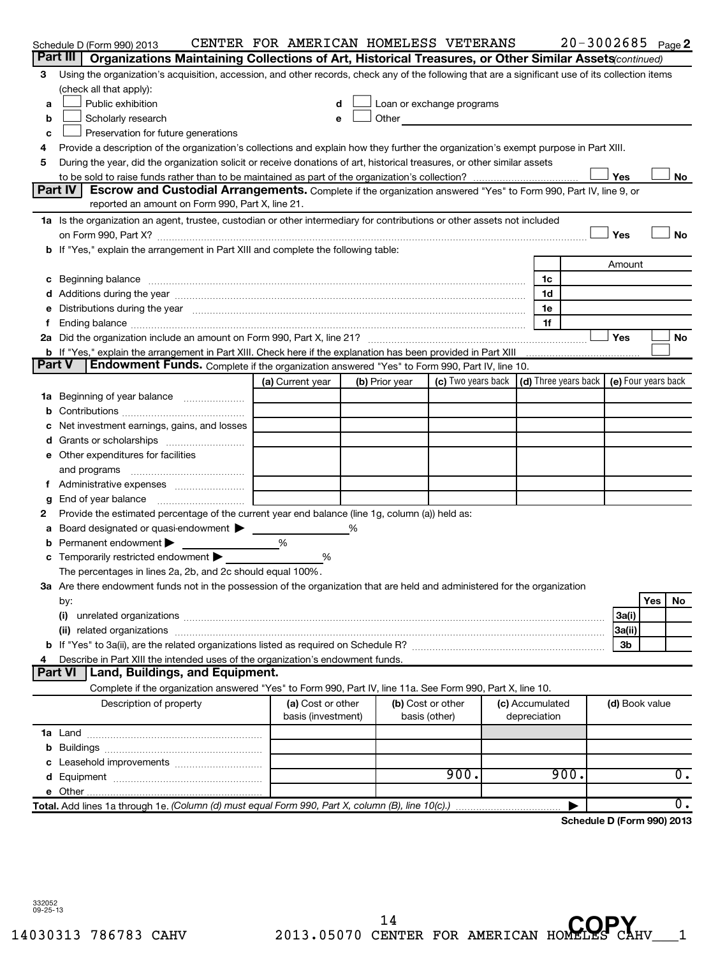|               | Schedule D (Form 990) 2013                                                                                                                                                                                                     | CENTER FOR AMERICAN HOMELESS VETERANS |                   |                                                                                                                                                                                                                                |                 | $20 - 3002685$ Page 2      |                |     |                  |
|---------------|--------------------------------------------------------------------------------------------------------------------------------------------------------------------------------------------------------------------------------|---------------------------------------|-------------------|--------------------------------------------------------------------------------------------------------------------------------------------------------------------------------------------------------------------------------|-----------------|----------------------------|----------------|-----|------------------|
| Part III      | Organizations Maintaining Collections of Art, Historical Treasures, or Other Similar Assets (continued)                                                                                                                        |                                       |                   |                                                                                                                                                                                                                                |                 |                            |                |     |                  |
| 3             | Using the organization's acquisition, accession, and other records, check any of the following that are a significant use of its collection items                                                                              |                                       |                   |                                                                                                                                                                                                                                |                 |                            |                |     |                  |
|               | (check all that apply):                                                                                                                                                                                                        |                                       |                   |                                                                                                                                                                                                                                |                 |                            |                |     |                  |
| а             | Public exhibition                                                                                                                                                                                                              |                                       |                   | Loan or exchange programs                                                                                                                                                                                                      |                 |                            |                |     |                  |
| b             | Scholarly research                                                                                                                                                                                                             | e                                     |                   | Other and the control of the control of the control of the control of the control of the control of the control of the control of the control of the control of the control of the control of the control of the control of th |                 |                            |                |     |                  |
| c             | Preservation for future generations                                                                                                                                                                                            |                                       |                   |                                                                                                                                                                                                                                |                 |                            |                |     |                  |
| 4             | Provide a description of the organization's collections and explain how they further the organization's exempt purpose in Part XIII.                                                                                           |                                       |                   |                                                                                                                                                                                                                                |                 |                            |                |     |                  |
| 5             | During the year, did the organization solicit or receive donations of art, historical treasures, or other similar assets                                                                                                       |                                       |                   |                                                                                                                                                                                                                                |                 |                            |                |     |                  |
|               |                                                                                                                                                                                                                                |                                       |                   |                                                                                                                                                                                                                                |                 |                            | Yes            |     | No               |
|               | Part IV<br>Escrow and Custodial Arrangements. Complete if the organization answered "Yes" to Form 990, Part IV, line 9, or                                                                                                     |                                       |                   |                                                                                                                                                                                                                                |                 |                            |                |     |                  |
|               | reported an amount on Form 990, Part X, line 21.                                                                                                                                                                               |                                       |                   |                                                                                                                                                                                                                                |                 |                            |                |     |                  |
|               | 1a Is the organization an agent, trustee, custodian or other intermediary for contributions or other assets not included                                                                                                       |                                       |                   |                                                                                                                                                                                                                                |                 |                            |                |     |                  |
|               |                                                                                                                                                                                                                                |                                       |                   |                                                                                                                                                                                                                                |                 |                            | Yes            |     | No               |
|               | b If "Yes," explain the arrangement in Part XIII and complete the following table:                                                                                                                                             |                                       |                   |                                                                                                                                                                                                                                |                 |                            |                |     |                  |
|               |                                                                                                                                                                                                                                |                                       |                   |                                                                                                                                                                                                                                |                 |                            | Amount         |     |                  |
| c             | Beginning balance measurements and the contract of the contract of the contract of the contract of the contract of the contract of the contract of the contract of the contract of the contract of the contract of the contrac |                                       |                   |                                                                                                                                                                                                                                | 1c<br>1d        |                            |                |     |                  |
|               |                                                                                                                                                                                                                                |                                       |                   |                                                                                                                                                                                                                                | 1e              |                            |                |     |                  |
|               | Distributions during the year manufactured and an account of the year manufactured and the year manufactured and the year manufactured and the year manufactured and the year manufactured and the year manufactured and the y |                                       |                   |                                                                                                                                                                                                                                | 1f              |                            |                |     |                  |
|               |                                                                                                                                                                                                                                |                                       |                   |                                                                                                                                                                                                                                |                 |                            | Yes            |     | No               |
|               | b If "Yes," explain the arrangement in Part XIII. Check here if the explanation has been provided in Part XIII                                                                                                                 |                                       |                   |                                                                                                                                                                                                                                |                 |                            |                |     |                  |
| <b>Part V</b> | Endowment Funds. Complete if the organization answered "Yes" to Form 990, Part IV, line 10.                                                                                                                                    |                                       |                   |                                                                                                                                                                                                                                |                 |                            |                |     |                  |
|               |                                                                                                                                                                                                                                | (a) Current year                      | (b) Prior year    | (c) Two years back $\vert$ (d) Three years back $\vert$ (e) Four years back                                                                                                                                                    |                 |                            |                |     |                  |
| 1a            | Beginning of year balance                                                                                                                                                                                                      |                                       |                   |                                                                                                                                                                                                                                |                 |                            |                |     |                  |
|               |                                                                                                                                                                                                                                |                                       |                   |                                                                                                                                                                                                                                |                 |                            |                |     |                  |
|               | Net investment earnings, gains, and losses                                                                                                                                                                                     |                                       |                   |                                                                                                                                                                                                                                |                 |                            |                |     |                  |
|               |                                                                                                                                                                                                                                |                                       |                   |                                                                                                                                                                                                                                |                 |                            |                |     |                  |
| е             | Other expenditures for facilities                                                                                                                                                                                              |                                       |                   |                                                                                                                                                                                                                                |                 |                            |                |     |                  |
|               | and programs                                                                                                                                                                                                                   |                                       |                   |                                                                                                                                                                                                                                |                 |                            |                |     |                  |
|               |                                                                                                                                                                                                                                |                                       |                   |                                                                                                                                                                                                                                |                 |                            |                |     |                  |
| g             | End of year balance                                                                                                                                                                                                            |                                       |                   |                                                                                                                                                                                                                                |                 |                            |                |     |                  |
| 2             | Provide the estimated percentage of the current year end balance (line 1g, column (a)) held as:                                                                                                                                |                                       |                   |                                                                                                                                                                                                                                |                 |                            |                |     |                  |
| а             | Board designated or quasi-endowment >                                                                                                                                                                                          |                                       |                   |                                                                                                                                                                                                                                |                 |                            |                |     |                  |
|               | Permanent endowment                                                                                                                                                                                                            | %                                     |                   |                                                                                                                                                                                                                                |                 |                            |                |     |                  |
|               | Temporarily restricted endowment                                                                                                                                                                                               | %                                     |                   |                                                                                                                                                                                                                                |                 |                            |                |     |                  |
|               | The percentages in lines 2a, 2b, and 2c should equal 100%.                                                                                                                                                                     |                                       |                   |                                                                                                                                                                                                                                |                 |                            |                |     |                  |
|               | 3a Are there endowment funds not in the possession of the organization that are held and administered for the organization                                                                                                     |                                       |                   |                                                                                                                                                                                                                                |                 |                            |                |     |                  |
|               | by:                                                                                                                                                                                                                            |                                       |                   |                                                                                                                                                                                                                                |                 |                            |                | Yes | No               |
|               | (i)                                                                                                                                                                                                                            |                                       |                   |                                                                                                                                                                                                                                |                 |                            | 3a(i)          |     |                  |
|               |                                                                                                                                                                                                                                |                                       |                   |                                                                                                                                                                                                                                |                 |                            | 3a(ii)         |     |                  |
|               |                                                                                                                                                                                                                                |                                       |                   |                                                                                                                                                                                                                                |                 |                            | 3b             |     |                  |
|               | Describe in Part XIII the intended uses of the organization's endowment funds.                                                                                                                                                 |                                       |                   |                                                                                                                                                                                                                                |                 |                            |                |     |                  |
|               | <b>Part VI</b><br>Land, Buildings, and Equipment.                                                                                                                                                                              |                                       |                   |                                                                                                                                                                                                                                |                 |                            |                |     |                  |
|               | Complete if the organization answered "Yes" to Form 990, Part IV, line 11a. See Form 990, Part X, line 10.                                                                                                                     |                                       |                   |                                                                                                                                                                                                                                |                 |                            |                |     |                  |
|               | Description of property                                                                                                                                                                                                        | (a) Cost or other                     | (b) Cost or other |                                                                                                                                                                                                                                | (c) Accumulated |                            | (d) Book value |     |                  |
|               |                                                                                                                                                                                                                                | basis (investment)                    | basis (other)     |                                                                                                                                                                                                                                | depreciation    |                            |                |     |                  |
|               |                                                                                                                                                                                                                                |                                       |                   |                                                                                                                                                                                                                                |                 |                            |                |     |                  |
|               |                                                                                                                                                                                                                                |                                       |                   |                                                                                                                                                                                                                                |                 |                            |                |     |                  |
|               |                                                                                                                                                                                                                                |                                       |                   | 900.                                                                                                                                                                                                                           |                 | 900.                       |                |     | $\overline{0}$ . |
|               |                                                                                                                                                                                                                                |                                       |                   |                                                                                                                                                                                                                                |                 |                            |                |     |                  |
|               | Total. Add lines 1a through 1e. (Column (d) must equal Form 990, Part X, column (B), line 10(c).)                                                                                                                              |                                       |                   |                                                                                                                                                                                                                                |                 |                            |                |     | 0.               |
|               |                                                                                                                                                                                                                                |                                       |                   |                                                                                                                                                                                                                                |                 | Schedule D (Form 990) 2013 |                |     |                  |
|               |                                                                                                                                                                                                                                |                                       |                   |                                                                                                                                                                                                                                |                 |                            |                |     |                  |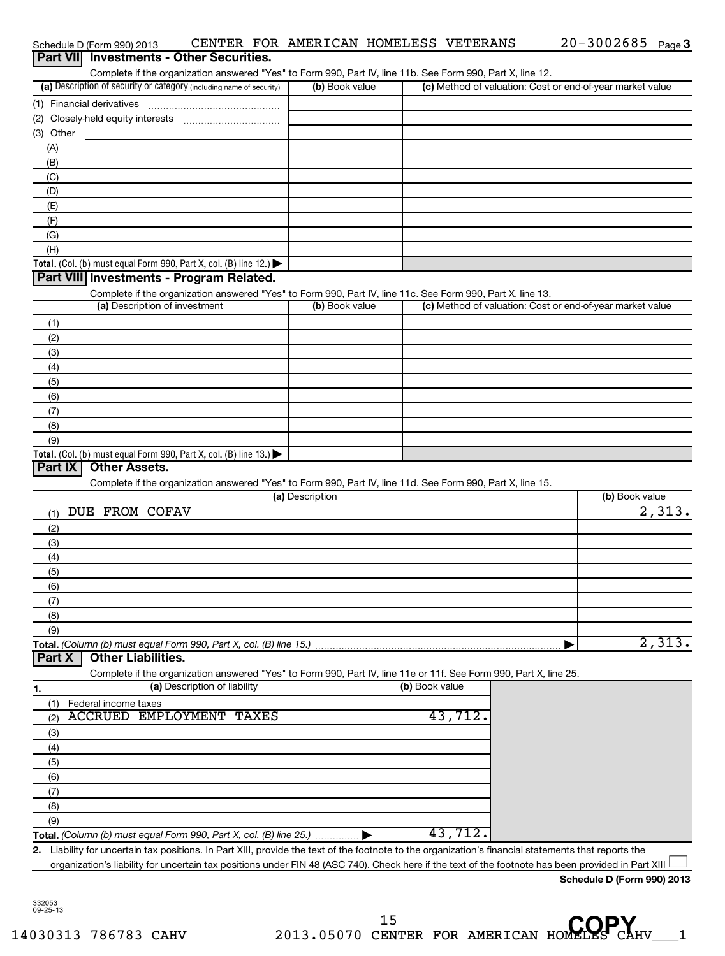| (a) Description of security or category (including name of security)<br>(2)<br>(3) Other<br>(A)<br>(B)<br>(C)<br>(D)<br>(E)<br>(F)<br>(G)<br>(H)<br>Total. (Col. (b) must equal Form 990, Part X, col. (B) line 12.) $\blacktriangleright$<br>Part VIII Investments - Program Related.<br>(a) Description of investment<br>(1)<br>(2)<br>(3)<br>(4)<br>(5)<br>(6)<br>(7)<br>(8)<br>(9)<br>Total. (Col. (b) must equal Form 990, Part X, col. (B) line 13.) $\blacktriangleright$<br>Part IX<br><b>Other Assets.</b><br>Complete if the organization answered "Yes" to Form 990, Part IV, line 11d. See Form 990, Part X, line 15. | Complete if the organization answered "Yes" to Form 990, Part IV, line 11b. See Form 990, Part X, line 12.<br>Complete if the organization answered "Yes" to Form 990, Part IV, line 11c. See Form 990, Part X, line 13. | (b) Book value<br>(b) Book value |                | (c) Method of valuation: Cost or end-of-year market value<br>(c) Method of valuation: Cost or end-of-year market value |
|-----------------------------------------------------------------------------------------------------------------------------------------------------------------------------------------------------------------------------------------------------------------------------------------------------------------------------------------------------------------------------------------------------------------------------------------------------------------------------------------------------------------------------------------------------------------------------------------------------------------------------------|--------------------------------------------------------------------------------------------------------------------------------------------------------------------------------------------------------------------------|----------------------------------|----------------|------------------------------------------------------------------------------------------------------------------------|
|                                                                                                                                                                                                                                                                                                                                                                                                                                                                                                                                                                                                                                   |                                                                                                                                                                                                                          |                                  |                |                                                                                                                        |
|                                                                                                                                                                                                                                                                                                                                                                                                                                                                                                                                                                                                                                   |                                                                                                                                                                                                                          |                                  |                |                                                                                                                        |
|                                                                                                                                                                                                                                                                                                                                                                                                                                                                                                                                                                                                                                   |                                                                                                                                                                                                                          |                                  |                |                                                                                                                        |
|                                                                                                                                                                                                                                                                                                                                                                                                                                                                                                                                                                                                                                   |                                                                                                                                                                                                                          |                                  |                |                                                                                                                        |
|                                                                                                                                                                                                                                                                                                                                                                                                                                                                                                                                                                                                                                   |                                                                                                                                                                                                                          |                                  |                |                                                                                                                        |
|                                                                                                                                                                                                                                                                                                                                                                                                                                                                                                                                                                                                                                   |                                                                                                                                                                                                                          |                                  |                |                                                                                                                        |
|                                                                                                                                                                                                                                                                                                                                                                                                                                                                                                                                                                                                                                   |                                                                                                                                                                                                                          |                                  |                |                                                                                                                        |
|                                                                                                                                                                                                                                                                                                                                                                                                                                                                                                                                                                                                                                   |                                                                                                                                                                                                                          |                                  |                |                                                                                                                        |
|                                                                                                                                                                                                                                                                                                                                                                                                                                                                                                                                                                                                                                   |                                                                                                                                                                                                                          |                                  |                |                                                                                                                        |
|                                                                                                                                                                                                                                                                                                                                                                                                                                                                                                                                                                                                                                   |                                                                                                                                                                                                                          |                                  |                |                                                                                                                        |
|                                                                                                                                                                                                                                                                                                                                                                                                                                                                                                                                                                                                                                   |                                                                                                                                                                                                                          |                                  |                |                                                                                                                        |
|                                                                                                                                                                                                                                                                                                                                                                                                                                                                                                                                                                                                                                   |                                                                                                                                                                                                                          |                                  |                |                                                                                                                        |
|                                                                                                                                                                                                                                                                                                                                                                                                                                                                                                                                                                                                                                   |                                                                                                                                                                                                                          |                                  |                |                                                                                                                        |
|                                                                                                                                                                                                                                                                                                                                                                                                                                                                                                                                                                                                                                   |                                                                                                                                                                                                                          |                                  |                |                                                                                                                        |
|                                                                                                                                                                                                                                                                                                                                                                                                                                                                                                                                                                                                                                   |                                                                                                                                                                                                                          |                                  |                |                                                                                                                        |
|                                                                                                                                                                                                                                                                                                                                                                                                                                                                                                                                                                                                                                   |                                                                                                                                                                                                                          |                                  |                |                                                                                                                        |
|                                                                                                                                                                                                                                                                                                                                                                                                                                                                                                                                                                                                                                   |                                                                                                                                                                                                                          |                                  |                |                                                                                                                        |
|                                                                                                                                                                                                                                                                                                                                                                                                                                                                                                                                                                                                                                   |                                                                                                                                                                                                                          |                                  |                |                                                                                                                        |
|                                                                                                                                                                                                                                                                                                                                                                                                                                                                                                                                                                                                                                   |                                                                                                                                                                                                                          |                                  |                |                                                                                                                        |
|                                                                                                                                                                                                                                                                                                                                                                                                                                                                                                                                                                                                                                   |                                                                                                                                                                                                                          |                                  |                |                                                                                                                        |
|                                                                                                                                                                                                                                                                                                                                                                                                                                                                                                                                                                                                                                   |                                                                                                                                                                                                                          |                                  |                |                                                                                                                        |
|                                                                                                                                                                                                                                                                                                                                                                                                                                                                                                                                                                                                                                   |                                                                                                                                                                                                                          |                                  |                |                                                                                                                        |
|                                                                                                                                                                                                                                                                                                                                                                                                                                                                                                                                                                                                                                   |                                                                                                                                                                                                                          |                                  |                |                                                                                                                        |
|                                                                                                                                                                                                                                                                                                                                                                                                                                                                                                                                                                                                                                   |                                                                                                                                                                                                                          |                                  |                |                                                                                                                        |
|                                                                                                                                                                                                                                                                                                                                                                                                                                                                                                                                                                                                                                   |                                                                                                                                                                                                                          |                                  |                |                                                                                                                        |
|                                                                                                                                                                                                                                                                                                                                                                                                                                                                                                                                                                                                                                   |                                                                                                                                                                                                                          |                                  |                |                                                                                                                        |
|                                                                                                                                                                                                                                                                                                                                                                                                                                                                                                                                                                                                                                   |                                                                                                                                                                                                                          |                                  |                |                                                                                                                        |
|                                                                                                                                                                                                                                                                                                                                                                                                                                                                                                                                                                                                                                   |                                                                                                                                                                                                                          |                                  |                |                                                                                                                        |
|                                                                                                                                                                                                                                                                                                                                                                                                                                                                                                                                                                                                                                   |                                                                                                                                                                                                                          | (a) Description                  |                | (b) Book value                                                                                                         |
| <b>DUE FROM COFAV</b>                                                                                                                                                                                                                                                                                                                                                                                                                                                                                                                                                                                                             |                                                                                                                                                                                                                          |                                  |                | 2,313.                                                                                                                 |
| (1)                                                                                                                                                                                                                                                                                                                                                                                                                                                                                                                                                                                                                               |                                                                                                                                                                                                                          |                                  |                |                                                                                                                        |
| (2)                                                                                                                                                                                                                                                                                                                                                                                                                                                                                                                                                                                                                               |                                                                                                                                                                                                                          |                                  |                |                                                                                                                        |
| (3)                                                                                                                                                                                                                                                                                                                                                                                                                                                                                                                                                                                                                               |                                                                                                                                                                                                                          |                                  |                |                                                                                                                        |
| (4)                                                                                                                                                                                                                                                                                                                                                                                                                                                                                                                                                                                                                               |                                                                                                                                                                                                                          |                                  |                |                                                                                                                        |
| (5)                                                                                                                                                                                                                                                                                                                                                                                                                                                                                                                                                                                                                               |                                                                                                                                                                                                                          |                                  |                |                                                                                                                        |
| (6)                                                                                                                                                                                                                                                                                                                                                                                                                                                                                                                                                                                                                               |                                                                                                                                                                                                                          |                                  |                |                                                                                                                        |
| (7)                                                                                                                                                                                                                                                                                                                                                                                                                                                                                                                                                                                                                               |                                                                                                                                                                                                                          |                                  |                |                                                                                                                        |
| (8)                                                                                                                                                                                                                                                                                                                                                                                                                                                                                                                                                                                                                               |                                                                                                                                                                                                                          |                                  |                |                                                                                                                        |
| (9)                                                                                                                                                                                                                                                                                                                                                                                                                                                                                                                                                                                                                               |                                                                                                                                                                                                                          |                                  |                |                                                                                                                        |
| Total. (Column (b) must equal Form 990, Part X, col. (B) line 15.)<br><b>Other Liabilities.</b>                                                                                                                                                                                                                                                                                                                                                                                                                                                                                                                                   |                                                                                                                                                                                                                          |                                  |                | 2,313.                                                                                                                 |
| Part X                                                                                                                                                                                                                                                                                                                                                                                                                                                                                                                                                                                                                            |                                                                                                                                                                                                                          |                                  |                |                                                                                                                        |
|                                                                                                                                                                                                                                                                                                                                                                                                                                                                                                                                                                                                                                   | Complete if the organization answered "Yes" to Form 990, Part IV, line 11e or 11f. See Form 990, Part X, line 25.                                                                                                        |                                  |                |                                                                                                                        |
| 1.                                                                                                                                                                                                                                                                                                                                                                                                                                                                                                                                                                                                                                | (a) Description of liability                                                                                                                                                                                             |                                  | (b) Book value |                                                                                                                        |
| Federal income taxes<br>(1)                                                                                                                                                                                                                                                                                                                                                                                                                                                                                                                                                                                                       |                                                                                                                                                                                                                          |                                  |                |                                                                                                                        |
| (2)                                                                                                                                                                                                                                                                                                                                                                                                                                                                                                                                                                                                                               | <b>ACCRUED EMPLOYMENT TAXES</b>                                                                                                                                                                                          |                                  | 43,712.        |                                                                                                                        |
| (3)                                                                                                                                                                                                                                                                                                                                                                                                                                                                                                                                                                                                                               |                                                                                                                                                                                                                          |                                  |                |                                                                                                                        |
| (4)                                                                                                                                                                                                                                                                                                                                                                                                                                                                                                                                                                                                                               |                                                                                                                                                                                                                          |                                  |                |                                                                                                                        |
| (5)                                                                                                                                                                                                                                                                                                                                                                                                                                                                                                                                                                                                                               |                                                                                                                                                                                                                          |                                  |                |                                                                                                                        |
| (6)                                                                                                                                                                                                                                                                                                                                                                                                                                                                                                                                                                                                                               |                                                                                                                                                                                                                          |                                  |                |                                                                                                                        |
| (7)                                                                                                                                                                                                                                                                                                                                                                                                                                                                                                                                                                                                                               |                                                                                                                                                                                                                          |                                  |                |                                                                                                                        |
| (8)                                                                                                                                                                                                                                                                                                                                                                                                                                                                                                                                                                                                                               |                                                                                                                                                                                                                          |                                  |                |                                                                                                                        |
| (9)                                                                                                                                                                                                                                                                                                                                                                                                                                                                                                                                                                                                                               |                                                                                                                                                                                                                          |                                  |                |                                                                                                                        |
| Total. (Column (b) must equal Form 990, Part X, col. (B) line 25.)                                                                                                                                                                                                                                                                                                                                                                                                                                                                                                                                                                |                                                                                                                                                                                                                          |                                  | 43,712.        |                                                                                                                        |
| 2. Liability for uncertain tax positions. In Part XIII, provide the text of the footnote to the organization's financial statements that reports the                                                                                                                                                                                                                                                                                                                                                                                                                                                                              |                                                                                                                                                                                                                          |                                  |                |                                                                                                                        |
| organization's liability for uncertain tax positions under FIN 48 (ASC 740). Check here if the text of the footnote has been provided in Part XIII                                                                                                                                                                                                                                                                                                                                                                                                                                                                                |                                                                                                                                                                                                                          |                                  |                |                                                                                                                        |

Schedule D (Form 990) 2013  $\,$  CENTER FOR AMERICAN HOMELESS VETERANS  $\,$  20-3002685  $_{\rm Page}$ 

20-3002685 <sub>Page</sub> 3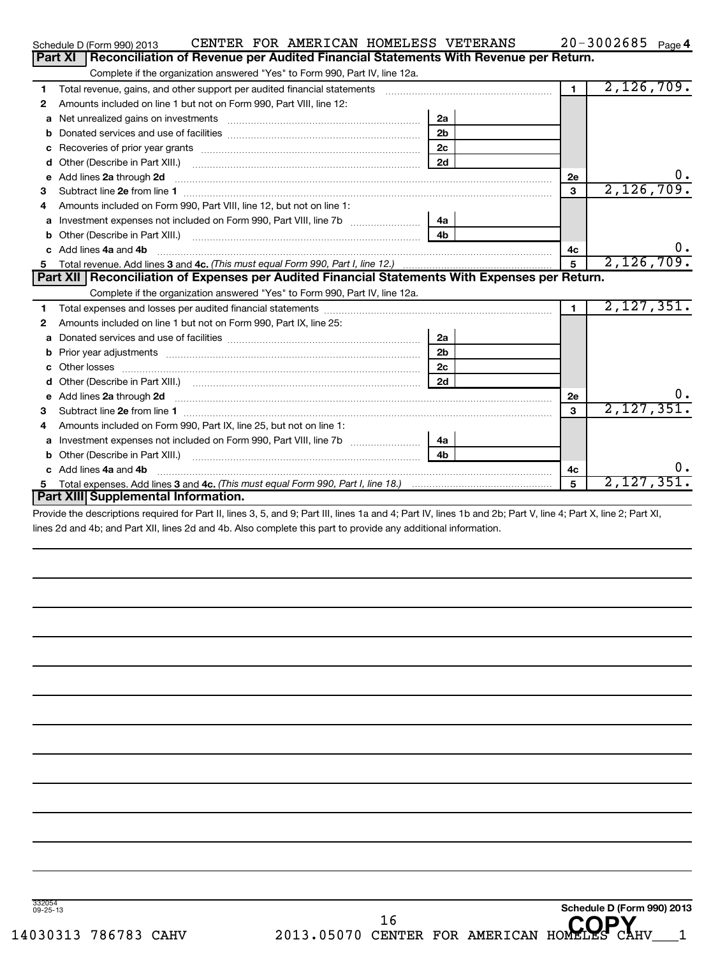|    | CENTER FOR AMERICAN HOMELESS VETERANS<br>Schedule D (Form 990) 2013                                                                                                                                                                 |                |                | 20-3002685 Page 4 |
|----|-------------------------------------------------------------------------------------------------------------------------------------------------------------------------------------------------------------------------------------|----------------|----------------|-------------------|
|    | Part XI<br>Reconciliation of Revenue per Audited Financial Statements With Revenue per Return.                                                                                                                                      |                |                |                   |
|    | Complete if the organization answered "Yes" to Form 990, Part IV, line 12a.                                                                                                                                                         |                |                |                   |
| 1  | Total revenue, gains, and other support per audited financial statements [111] [11] Total revenue, gains, and other support per audited financial statements                                                                        |                | $\blacksquare$ | 2,126,709.        |
| 2  | Amounts included on line 1 but not on Form 990, Part VIII, line 12:                                                                                                                                                                 |                |                |                   |
| a  |                                                                                                                                                                                                                                     | 2a             |                |                   |
| b  |                                                                                                                                                                                                                                     | 2 <sub>b</sub> |                |                   |
| с  |                                                                                                                                                                                                                                     | 2c             |                |                   |
| d  |                                                                                                                                                                                                                                     | 2d             |                |                   |
| е  | Add lines 2a through 2d <b>[10]</b> Communication and the contract of the contract of the contract of the contract of the contract of the contract of the contract of the contract of the contract of the contract of the contract  |                | <b>2e</b>      | υ.                |
| 3  |                                                                                                                                                                                                                                     |                | 3              | 2,126,709.        |
| 4  | Amounts included on Form 990, Part VIII, line 12, but not on line 1:                                                                                                                                                                |                |                |                   |
| a  |                                                                                                                                                                                                                                     | 4a             |                |                   |
| b  |                                                                                                                                                                                                                                     | 4 <sub>b</sub> |                |                   |
| C  | Add lines 4a and 4b                                                                                                                                                                                                                 |                | 4c             | $\mathbf 0$ .     |
| 5. |                                                                                                                                                                                                                                     |                | 5              | 2,126,709.        |
|    | Part XII   Reconciliation of Expenses per Audited Financial Statements With Expenses per Return.                                                                                                                                    |                |                |                   |
|    | Complete if the organization answered "Yes" to Form 990, Part IV, line 12a.                                                                                                                                                         |                |                |                   |
| 1  |                                                                                                                                                                                                                                     |                | $\blacksquare$ | 2,127,351.        |
| 2  | Amounts included on line 1 but not on Form 990, Part IX, line 25:                                                                                                                                                                   |                |                |                   |
| а  |                                                                                                                                                                                                                                     | 2a             |                |                   |
| b  |                                                                                                                                                                                                                                     | 2 <sub>b</sub> |                |                   |
|    |                                                                                                                                                                                                                                     | 2c             |                |                   |
|    |                                                                                                                                                                                                                                     | 2d             |                |                   |
| е  | Add lines 2a through 2d <b>must be a constructed as the constant of the constant of the constant of the construction</b>                                                                                                            |                | 2е             | υ.                |
| 3  |                                                                                                                                                                                                                                     |                | 3              | 2,127,351.        |
| 4  | Amounts included on Form 990, Part IX, line 25, but not on line 1:                                                                                                                                                                  |                |                |                   |
| a  |                                                                                                                                                                                                                                     | 4a             |                |                   |
|    | Other (Describe in Part XIII.) <b>Construction Contract Construction</b> Chemical Construction Chemical Chemical Chemical Chemical Chemical Chemical Chemical Chemical Chemical Chemical Chemical Chemical Chemical Chemical Chemic | 4 <sub>h</sub> |                |                   |
|    | c Add lines 4a and 4b                                                                                                                                                                                                               |                | 4c             | 0.                |
| 5  |                                                                                                                                                                                                                                     |                |                | 2,127,351.        |
|    | Part XIII Supplemental Information.                                                                                                                                                                                                 |                |                |                   |

Provide the descriptions required for Part II, lines 3, 5, and 9; Part III, lines 1a and 4; Part IV, lines 1b and 2b; Part V, line 4; Part X, line 2; Part XI, lines 2d and 4b; and Part XII, lines 2d and 4b. Also complete this part to provide any additional information.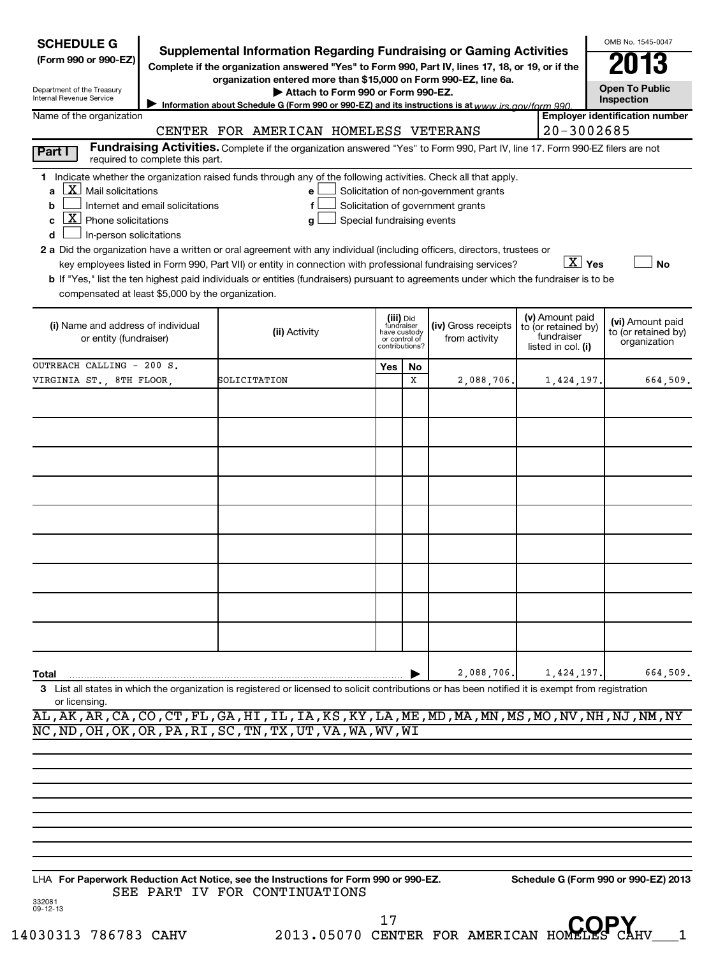| <b>SCHEDULE G</b>                                                                                                                             |                                  | <b>Supplemental Information Regarding Fundraising or Gaming Activities</b>                                                                                                                                                                                    |                                                          |                |                                                                            |                                                                            | OMB No. 1545-0047                                       |
|-----------------------------------------------------------------------------------------------------------------------------------------------|----------------------------------|---------------------------------------------------------------------------------------------------------------------------------------------------------------------------------------------------------------------------------------------------------------|----------------------------------------------------------|----------------|----------------------------------------------------------------------------|----------------------------------------------------------------------------|---------------------------------------------------------|
| (Form 990 or 990-EZ)                                                                                                                          |                                  | Complete if the organization answered "Yes" to Form 990, Part IV, lines 17, 18, or 19, or if the                                                                                                                                                              |                                                          |                |                                                                            |                                                                            |                                                         |
|                                                                                                                                               |                                  | organization entered more than \$15,000 on Form 990-EZ, line 6a.                                                                                                                                                                                              |                                                          |                |                                                                            |                                                                            | <b>Open To Public</b>                                   |
| Department of the Treasury<br>Internal Revenue Service                                                                                        |                                  | Attach to Form 990 or Form 990-EZ.<br>Information about Schedule G (Form 990 or 990-EZ) and its instructions is at www irs gov/form 990                                                                                                                       |                                                          |                |                                                                            |                                                                            | Inspection                                              |
| Name of the organization                                                                                                                      |                                  |                                                                                                                                                                                                                                                               |                                                          |                |                                                                            |                                                                            | <b>Employer identification number</b>                   |
|                                                                                                                                               |                                  | CENTER FOR AMERICAN HOMELESS VETERANS                                                                                                                                                                                                                         |                                                          |                |                                                                            | $20 - 3002685$                                                             |                                                         |
| Part I                                                                                                                                        | required to complete this part.  | Fundraising Activities. Complete if the organization answered "Yes" to Form 990, Part IV, line 17. Form 990-EZ filers are not                                                                                                                                 |                                                          |                |                                                                            |                                                                            |                                                         |
| $\lfloor \underline{X} \rfloor$ Mail solicitations<br>a<br>b<br>$\boxed{\mathbf{X}}$ Phone solicitations<br>с<br>In-person solicitations<br>d | Internet and email solicitations | 1 Indicate whether the organization raised funds through any of the following activities. Check all that apply.<br>e l<br>f<br>g<br>2 a Did the organization have a written or oral agreement with any individual (including officers, directors, trustees or | Special fundraising events                               |                | Solicitation of non-government grants<br>Solicitation of government grants |                                                                            |                                                         |
| compensated at least \$5,000 by the organization.                                                                                             |                                  | key employees listed in Form 990, Part VII) or entity in connection with professional fundraising services?<br><b>b</b> If "Yes," list the ten highest paid individuals or entities (fundraisers) pursuant to agreements under which the fundraiser is to be  |                                                          |                |                                                                            | $\boxed{\text{X}}$ Yes                                                     | <b>No</b>                                               |
| (i) Name and address of individual<br>or entity (fundraiser)                                                                                  |                                  | (ii) Activity                                                                                                                                                                                                                                                 | (iii) Did<br>fundraiser<br>have custody<br>or control of | contributions? | (iv) Gross receipts<br>from activity                                       | (v) Amount paid<br>to (or retained by)<br>fundraiser<br>listed in col. (i) | (vi) Amount paid<br>to (or retained by)<br>organization |
| OUTREACH CALLING - 200 S.                                                                                                                     |                                  |                                                                                                                                                                                                                                                               | Yes                                                      | <b>No</b>      |                                                                            |                                                                            |                                                         |
| VIRGINIA ST., 8TH FLOOR,                                                                                                                      |                                  | SOLICITATION                                                                                                                                                                                                                                                  |                                                          | x              | 2,088,706.                                                                 | 1,424,197.                                                                 | 664,509.                                                |
|                                                                                                                                               |                                  |                                                                                                                                                                                                                                                               |                                                          |                |                                                                            |                                                                            |                                                         |
|                                                                                                                                               |                                  |                                                                                                                                                                                                                                                               |                                                          |                |                                                                            |                                                                            |                                                         |
|                                                                                                                                               |                                  |                                                                                                                                                                                                                                                               |                                                          |                |                                                                            |                                                                            |                                                         |
|                                                                                                                                               |                                  |                                                                                                                                                                                                                                                               |                                                          |                |                                                                            |                                                                            |                                                         |
|                                                                                                                                               |                                  |                                                                                                                                                                                                                                                               |                                                          |                |                                                                            |                                                                            |                                                         |
|                                                                                                                                               |                                  |                                                                                                                                                                                                                                                               |                                                          |                |                                                                            |                                                                            |                                                         |
|                                                                                                                                               |                                  |                                                                                                                                                                                                                                                               |                                                          |                |                                                                            |                                                                            |                                                         |
|                                                                                                                                               |                                  |                                                                                                                                                                                                                                                               |                                                          |                |                                                                            |                                                                            |                                                         |
|                                                                                                                                               |                                  |                                                                                                                                                                                                                                                               |                                                          |                |                                                                            |                                                                            |                                                         |
|                                                                                                                                               |                                  |                                                                                                                                                                                                                                                               |                                                          |                |                                                                            |                                                                            |                                                         |
|                                                                                                                                               |                                  |                                                                                                                                                                                                                                                               |                                                          |                |                                                                            |                                                                            |                                                         |
|                                                                                                                                               |                                  |                                                                                                                                                                                                                                                               |                                                          |                |                                                                            |                                                                            |                                                         |
|                                                                                                                                               |                                  |                                                                                                                                                                                                                                                               |                                                          |                |                                                                            |                                                                            |                                                         |
|                                                                                                                                               |                                  |                                                                                                                                                                                                                                                               |                                                          |                |                                                                            |                                                                            |                                                         |
| Total                                                                                                                                         |                                  |                                                                                                                                                                                                                                                               |                                                          |                | 2,088,706.                                                                 | 1,424,197.                                                                 | 664,509.                                                |
| or licensing.                                                                                                                                 |                                  | 3 List all states in which the organization is registered or licensed to solicit contributions or has been notified it is exempt from registration                                                                                                            |                                                          |                |                                                                            |                                                                            |                                                         |
|                                                                                                                                               |                                  | AL, AK, AR, CA, CO, CT, FL, GA, HI, IL, IA, KS, KY, LA, ME, MD, MA, MN, MS, MO, NV, NH, NJ, NM, NY                                                                                                                                                            |                                                          |                |                                                                            |                                                                            |                                                         |
|                                                                                                                                               |                                  | NC, ND, OH, OK, OR, PA, RI, SC, TN, TX, UT, VA, WA, WV, WI                                                                                                                                                                                                    |                                                          |                |                                                                            |                                                                            |                                                         |
|                                                                                                                                               |                                  |                                                                                                                                                                                                                                                               |                                                          |                |                                                                            |                                                                            |                                                         |
|                                                                                                                                               |                                  |                                                                                                                                                                                                                                                               |                                                          |                |                                                                            |                                                                            |                                                         |
|                                                                                                                                               |                                  |                                                                                                                                                                                                                                                               |                                                          |                |                                                                            |                                                                            |                                                         |
|                                                                                                                                               |                                  |                                                                                                                                                                                                                                                               |                                                          |                |                                                                            |                                                                            |                                                         |
|                                                                                                                                               |                                  |                                                                                                                                                                                                                                                               |                                                          |                |                                                                            |                                                                            |                                                         |
|                                                                                                                                               |                                  |                                                                                                                                                                                                                                                               |                                                          |                |                                                                            |                                                                            |                                                         |
|                                                                                                                                               |                                  |                                                                                                                                                                                                                                                               |                                                          |                |                                                                            |                                                                            |                                                         |
| 332081                                                                                                                                        |                                  | LHA For Paperwork Reduction Act Notice, see the Instructions for Form 990 or 990-EZ.<br>SEE PART IV FOR CONTINUATIONS                                                                                                                                         |                                                          |                |                                                                            |                                                                            | Schedule G (Form 990 or 990-EZ) 2013                    |
| 09-12-13                                                                                                                                      |                                  |                                                                                                                                                                                                                                                               |                                                          |                |                                                                            |                                                                            |                                                         |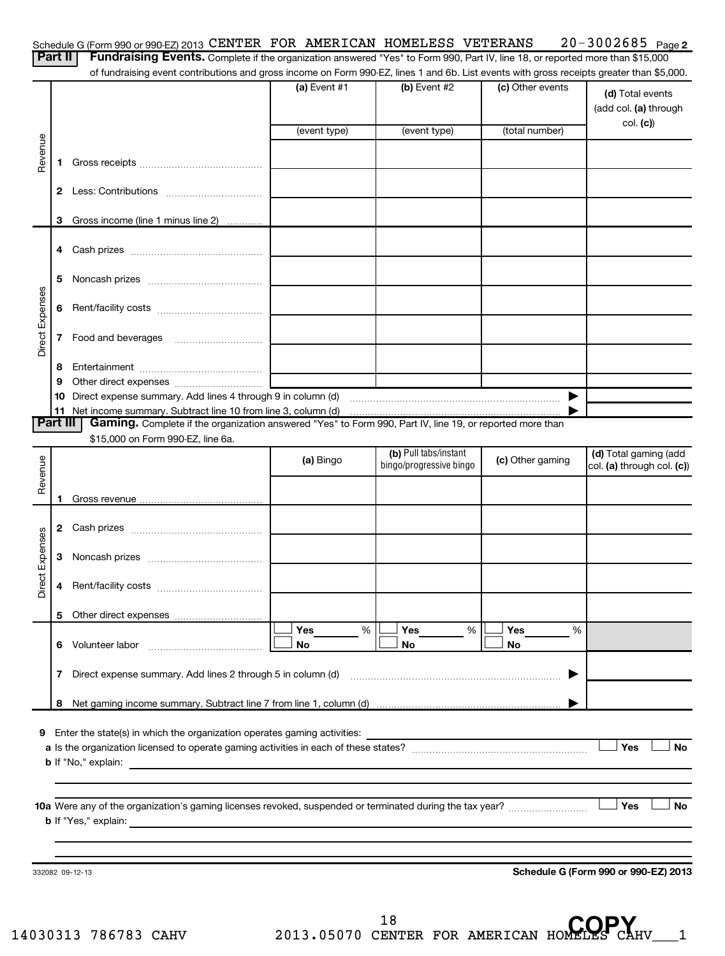|                 | Part II  | Schedule G (Form 990 or 990-EZ) 2013 CENTER FOR AMERICAN HOMELESS VETERANS<br>Fundraising Events. Complete if the organization answered "Yes" to Form 990, Part IV, line 18, or reported more than \$15,000 |                   |                         |                       | $20 - 3002685$ Page 2                                  |
|-----------------|----------|-------------------------------------------------------------------------------------------------------------------------------------------------------------------------------------------------------------|-------------------|-------------------------|-----------------------|--------------------------------------------------------|
|                 |          | of fundraising event contributions and gross income on Form 990-EZ, lines 1 and 6b. List events with gross receipts greater than \$5,000.                                                                   |                   |                         |                       |                                                        |
|                 |          |                                                                                                                                                                                                             | $(a)$ Event #1    | (b) Event #2            | (c) Other events      | (d) Total events<br>(add col. (a) through<br>col. (c)) |
|                 |          |                                                                                                                                                                                                             | (event type)      | (event type)            | (total number)        |                                                        |
| Revenue         | 1.       |                                                                                                                                                                                                             |                   |                         |                       |                                                        |
|                 |          |                                                                                                                                                                                                             |                   |                         |                       |                                                        |
|                 | 3        | Gross income (line 1 minus line 2)                                                                                                                                                                          |                   |                         |                       |                                                        |
|                 |          |                                                                                                                                                                                                             |                   |                         |                       |                                                        |
|                 |          |                                                                                                                                                                                                             |                   |                         |                       |                                                        |
|                 | 5        |                                                                                                                                                                                                             |                   |                         |                       |                                                        |
| Direct Expenses | 6        |                                                                                                                                                                                                             |                   |                         |                       |                                                        |
|                 | 7        |                                                                                                                                                                                                             |                   |                         |                       |                                                        |
|                 | 8        |                                                                                                                                                                                                             |                   |                         |                       |                                                        |
|                 | 9        |                                                                                                                                                                                                             |                   |                         |                       |                                                        |
|                 |          |                                                                                                                                                                                                             |                   |                         | $\blacktriangleright$ |                                                        |
|                 |          |                                                                                                                                                                                                             |                   |                         |                       |                                                        |
|                 | Part III | Gaming. Complete if the organization answered "Yes" to Form 990, Part IV, line 19, or reported more than                                                                                                    |                   |                         |                       |                                                        |
|                 |          | \$15,000 on Form 990-EZ, line 6a.                                                                                                                                                                           |                   | (b) Pull tabs/instant   |                       |                                                        |
|                 |          |                                                                                                                                                                                                             | (a) Bingo         | bingo/progressive bingo | (c) Other gaming      | (d) Total gaming (add<br>col. (a) through col. (c))    |
| Revenue         |          |                                                                                                                                                                                                             |                   |                         |                       |                                                        |
|                 |          |                                                                                                                                                                                                             |                   |                         |                       |                                                        |
|                 |          |                                                                                                                                                                                                             |                   |                         |                       |                                                        |
|                 |          |                                                                                                                                                                                                             |                   |                         |                       |                                                        |
| Expenses        | 3        |                                                                                                                                                                                                             |                   |                         |                       |                                                        |
| ಕ್ಷ<br>ă        |          |                                                                                                                                                                                                             |                   |                         |                       |                                                        |
|                 |          |                                                                                                                                                                                                             |                   |                         |                       |                                                        |
|                 |          | 6 Volunteer labor                                                                                                                                                                                           | Yes<br>$\%$<br>No | Yes<br>%<br>No          | Yes<br>%<br>No        |                                                        |
|                 | 7        |                                                                                                                                                                                                             |                   |                         | ▶                     |                                                        |
|                 |          |                                                                                                                                                                                                             |                   |                         |                       |                                                        |
|                 |          |                                                                                                                                                                                                             |                   |                         |                       |                                                        |
|                 |          | <b>b</b> If "No," explain:<br><u> 1989 - Andrea Stadt Britain, amerikansk politiker (</u>                                                                                                                   |                   |                         |                       | Yes<br><b>No</b>                                       |
|                 |          |                                                                                                                                                                                                             |                   |                         |                       |                                                        |
|                 |          |                                                                                                                                                                                                             |                   |                         |                       | Yes<br>No                                              |
|                 |          |                                                                                                                                                                                                             |                   |                         |                       |                                                        |
|                 |          | 332082 09-12-13                                                                                                                                                                                             |                   |                         |                       | Schedule G (Form 990 or 990-EZ) 2013                   |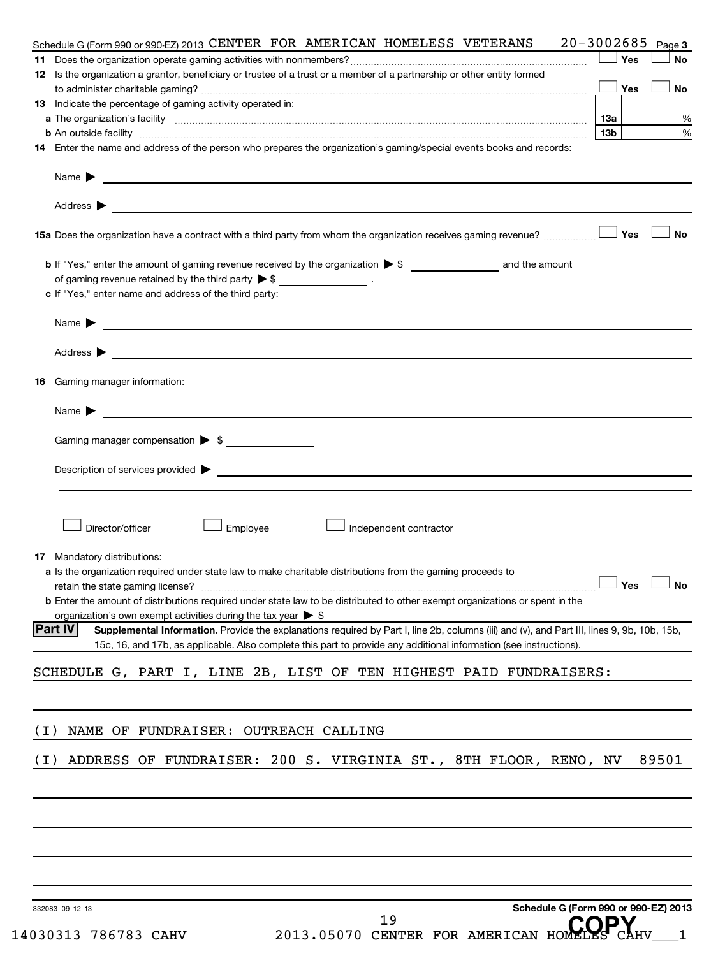|       | Schedule G (Form 990 or 990-EZ) 2013 CENTER FOR AMERICAN HOMELESS VETERANS 20-3002685                                                                                                                                                                                               |                 |     | Page 3 |
|-------|-------------------------------------------------------------------------------------------------------------------------------------------------------------------------------------------------------------------------------------------------------------------------------------|-----------------|-----|--------|
|       |                                                                                                                                                                                                                                                                                     |                 | Yes | No     |
|       | 12 Is the organization a grantor, beneficiary or trustee of a trust or a member of a partnership or other entity formed                                                                                                                                                             |                 | Yes | No     |
|       | 13 Indicate the percentage of gaming activity operated in:                                                                                                                                                                                                                          |                 |     |        |
|       |                                                                                                                                                                                                                                                                                     | 1За             |     |        |
|       |                                                                                                                                                                                                                                                                                     | 13 <sub>b</sub> |     |        |
|       | 14 Enter the name and address of the person who prepares the organization's gaming/special events books and records:                                                                                                                                                                |                 |     |        |
|       | Name $\blacktriangleright$<br>and the control of the control of the control of the control of the control of the control of the control of the                                                                                                                                      |                 |     |        |
|       | Address $\blacktriangleright$<br>and the control of the control of the control of the control of the control of the control of the control of the                                                                                                                                   |                 |     |        |
|       | 15a Does the organization have a contract with a third party from whom the organization receives gaming revenue?                                                                                                                                                                    |                 | Yes |        |
|       |                                                                                                                                                                                                                                                                                     |                 |     |        |
|       | of gaming revenue retained by the third party $\triangleright$ \$ __________________.                                                                                                                                                                                               |                 |     |        |
|       | c If "Yes," enter name and address of the third party:                                                                                                                                                                                                                              |                 |     |        |
|       | Name $\blacktriangleright$                                                                                                                                                                                                                                                          |                 |     |        |
|       | Address $\blacktriangleright$<br><u> 1989 - Johann Stein, fransk politik (d. 1989)</u>                                                                                                                                                                                              |                 |     |        |
| 16.   | Gaming manager information:                                                                                                                                                                                                                                                         |                 |     |        |
|       | Name $\blacktriangleright$<br><u> 1989 - Johann Harry Harry Harry Harry Harry Harry Harry Harry Harry Harry Harry Harry Harry Harry Harry Harry</u>                                                                                                                                 |                 |     |        |
|       | Gaming manager compensation > \$                                                                                                                                                                                                                                                    |                 |     |        |
|       |                                                                                                                                                                                                                                                                                     |                 |     |        |
|       | Director/officer<br>Employee<br>Independent contractor                                                                                                                                                                                                                              |                 |     |        |
|       | 17 Mandatory distributions:                                                                                                                                                                                                                                                         |                 |     |        |
|       | a Is the organization required under state law to make charitable distributions from the gaming proceeds to                                                                                                                                                                         |                 |     |        |
|       | retain the state gaming license?                                                                                                                                                                                                                                                    |                 | Yes |        |
|       | <b>b</b> Enter the amount of distributions required under state law to be distributed to other exempt organizations or spent in the                                                                                                                                                 |                 |     |        |
|       | organization's own exempt activities during the tax year $\triangleright$ \$                                                                                                                                                                                                        |                 |     |        |
|       | <b>Part IV</b><br>Supplemental Information. Provide the explanations required by Part I, line 2b, columns (iii) and (v), and Part III, lines 9, 9b, 10b, 15b,<br>15c, 16, and 17b, as applicable. Also complete this part to provide any additional information (see instructions). |                 |     |        |
|       | SCHEDULE G, PART I, LINE 2B, LIST OF TEN HIGHEST PAID FUNDRAISERS:                                                                                                                                                                                                                  |                 |     |        |
|       |                                                                                                                                                                                                                                                                                     |                 |     |        |
| ( I ) | NAME OF FUNDRAISER: OUTREACH CALLING                                                                                                                                                                                                                                                |                 |     |        |
| ( I ) | ADDRESS OF FUNDRAISER: 200 S. VIRGINIA ST., 8TH FLOOR, RENO, NV                                                                                                                                                                                                                     |                 |     | 89501  |
|       |                                                                                                                                                                                                                                                                                     |                 |     |        |
|       |                                                                                                                                                                                                                                                                                     |                 |     |        |
|       |                                                                                                                                                                                                                                                                                     |                 |     |        |
|       |                                                                                                                                                                                                                                                                                     |                 |     |        |
|       |                                                                                                                                                                                                                                                                                     |                 |     |        |
|       | Schedule G (Form 990 or 990-EZ) 2013<br>332083 09-12-13<br>19                                                                                                                                                                                                                       |                 |     |        |
|       | 2013.05070 CENTER FOR AMERICAN HOMEI<br>14030313 786783 CAHV                                                                                                                                                                                                                        |                 |     |        |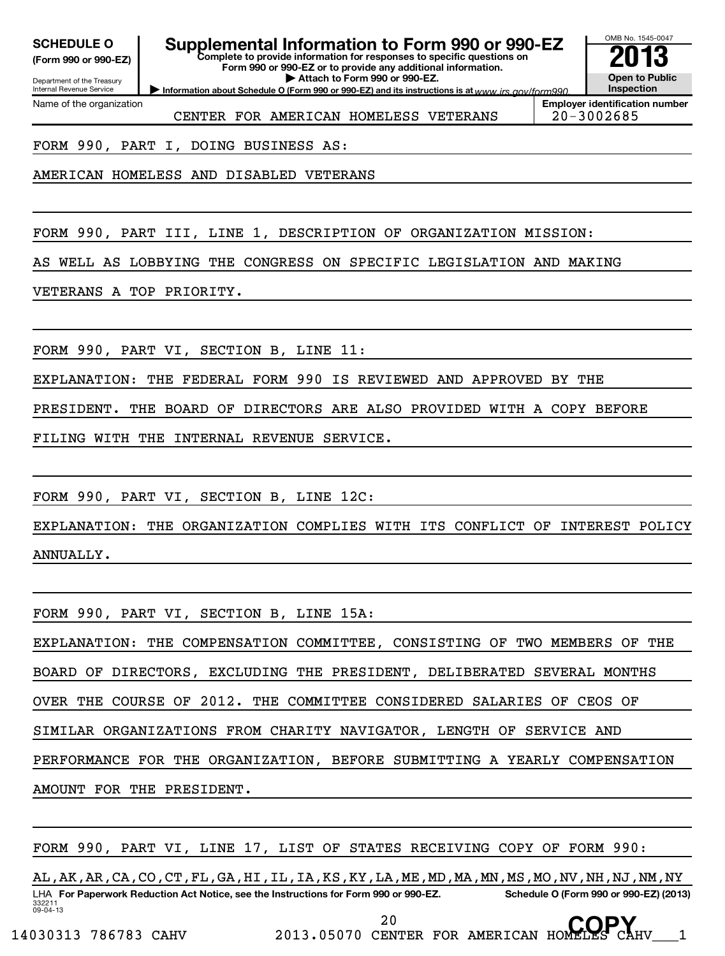Department of the Treasury **(Form 990 or 990-EZ)**

# **SCHEDULE O Supplemental Information to Form 990 or 990-EZ 2013**

OMB No. 1545-0047

**Complete to provide information for responses to specific questions on Form 990 or 990-EZ or to provide any additional information. | Attach to Form 990 or 990-EZ.**

Internal Revenue Service Name of the organization

CENTER FOR AMERICAN HOMELESS VETERANS | 20-3002685

**Information about Schedule O (Form 990 or 990-EZ) and its instructions is at www.irs.gov/form990. Employer identification number**

**COPY**

**Open to Public Inspection**

FORM 990, PART I, DOING BUSINESS AS:

AMERICAN HOMELESS AND DISABLED VETERANS

FORM 990, PART III, LINE 1, DESCRIPTION OF ORGANIZATION MISSION:

AS WELL AS LOBBYING THE CONGRESS ON SPECIFIC LEGISLATION AND MAKING

VETERANS A TOP PRIORITY.

FORM 990, PART VI, SECTION B, LINE 11:

EXPLANATION: THE FEDERAL FORM 990 IS REVIEWED AND APPROVED BY THE

PRESIDENT. THE BOARD OF DIRECTORS ARE ALSO PROVIDED WITH A COPY BEFORE

FILING WITH THE INTERNAL REVENUE SERVICE.

FORM 990, PART VI, SECTION B, LINE 12C:

EXPLANATION: THE ORGANIZATION COMPLIES WITH ITS CONFLICT OF INTEREST POLICY ANNUALLY.

FORM 990, PART VI, SECTION B, LINE 15A:

EXPLANATION: THE COMPENSATION COMMITTEE, CONSISTING OF TWO MEMBERS OF THE BOARD OF DIRECTORS, EXCLUDING THE PRESIDENT, DELIBERATED SEVERAL MONTHS

OVER THE COURSE OF 2012. THE COMMITTEE CONSIDERED SALARIES OF CEOS OF

SIMILAR ORGANIZATIONS FROM CHARITY NAVIGATOR, LENGTH OF SERVICE AND

PERFORMANCE FOR THE ORGANIZATION, BEFORE SUBMITTING A YEARLY COMPENSATION

AMOUNT FOR THE PRESIDENT.

FORM 990, PART VI, LINE 17, LIST OF STATES RECEIVING COPY OF FORM 990:

332211 09-04-13 LHA For Paperwork Reduction Act Notice, see the Instructions for Form 990 or 990-EZ. Schedule O (Form 990 or 990-EZ) (2013) AL,AK,AR,CA,CO,CT,FL,GA,HI,IL,IA,KS,KY,LA,ME,MD,MA,MN,MS,MO,NV,NH,NJ,NM,NY

14030313 786783 CAHV 2013.05070 CENTER FOR AMERICAN HOMELES CAHV\_\_\_1

20